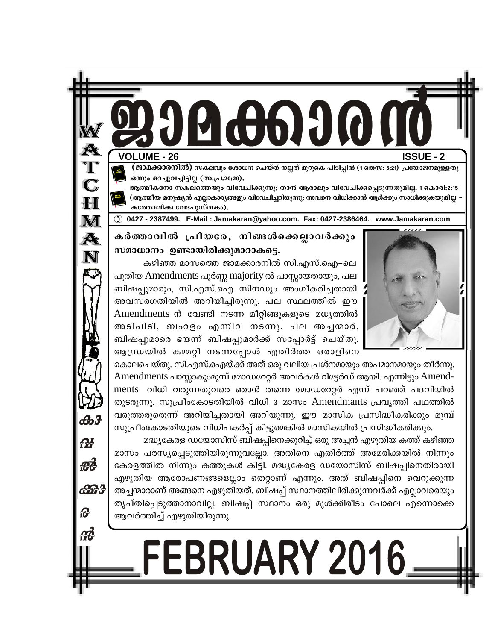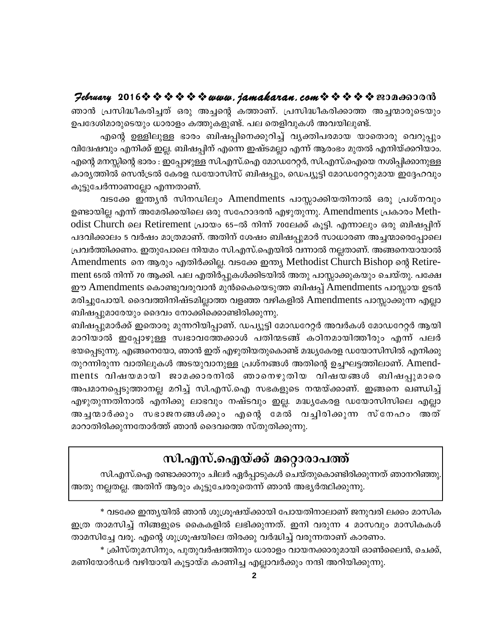#### $\mathcal{P}$ ebruary 2016 $\hat{\mathbf{v}} \triangleq \hat{\mathbf{v}} \triangleq \hat{\mathbf{v}} \triangleq \mathbf{v}$  and  $\mathbf{v}$ . jamakaran. com  $\hat{\mathbf{v}} \triangleq \hat{\mathbf{v}} \triangleq \hat{\mathbf{v}}$  and  $\mathbf{v}$

ഞാൻ പ്രസിദ്ധീകരിച്ചത് ഒരു അച്ചന്റെ കത്താണ്. പ്രസിദ്ധീകരിക്കാത്ത അച്ചന്മാരുടെയും ഉപദേശിമാരുടെയും ധാരാളം കത്തുകളുണ്ട്. പല തെളിവുകൾ അവയിലുണ്ട്.

എന്റെ ഉള്ളിലുള്ള ഭാരം ബിഷപ്പിനെക്കുറിച്ച് വ്യക്തിപരമായ യാതൊരു വെറുപ്പും വിദ്വേഷവും എനിക്ക് ഇല്ല. ബിഷപ്പിന് എന്നെ ഇഷ്ടമല്ലാ എന്ന് ആരംഭം മുതൽ എനിയ്ക്കറിയാം. എന്റെ മനസ്സിന്റെ ഭാരം : ഇപ്പോഴുള്ള സി.എസ്.ഐ മോഡറേറ്റർ, സി.എസ്.ഐയെ നശിപ്പിക്കാനുള്ള കാര്യത്തിൽ സെൻട്രൽ കേരള ഡയോസിസ് ബിഷപ്പും, ഡെപ്യൂട്ടി മോഡറേറ്ററുമായ ഇദ്ദേഹവും കൂട്ടുചേർന്നാണല്ലോ എന്നതാണ്.

വടക്കേ ഇന്ത്യൻ സിനഡിലും Amendments പാസ്സാക്കിയതിനാൽ ഒരു പ്രശ്നവും ഉണ്ടായില്ല എന്ന് അമേരിക്കയിലെ ഒരു സഹോദരൻ എഴുതുന്നു. Amendments പ്രകാരം Methodist Church ലെ Retirement പ്രായം 65–ൽ നിന്ന് 70ലേക്ക് കൂട്ടി. എന്നാലും ഒരു ബിഷപ്പിന് പദവിക്കാലം 5 വർഷം മാത്രമാണ്. അതിന് ശേഷം ബിഷപ്പുമാർ സാധാരണ അച്ചന്മാരെപ്പോലെ പ്രവർത്തിക്കണം. ഇതുപോലെ നിയമം സി.എസ്.ഐയിൽ വന്നാൽ നല്ലതാണ്. അങ്ങനെയായാൽ Amendments നെ ആരും എതിർക്കില്ല. വടക്കേ ഇന്ത്യ Methodist Church Bishop ന്റെ Retirement 65ൽ നിന്ന് 70 ആക്കി. പല എതിർപ്പുകൾക്കിടയിൽ അതു പാസ്സാക്കുകയും ചെയ്തു. പക്ഷേ ഈ Amendments കൊണ്ടുവരുവാൻ മുൻകൈയെടുത്ത ബിഷപ്പ് Amendments പാസ്സായ ഉടൻ മരിച്ചുപോയി. ദൈവത്തിനിഷ്ടമില്ലാത്ത വളഞ്ഞ വഴികളിൽ Amendments പാസ്സാക്കുന്ന എല്ലാ ബിഷപ്പുമാരേയും ദൈവം നോക്കിക്കൊണ്ടിരിക്കുന്നു.

ബിഷപ്പുമാർക്ക് ഇതൊരു മുന്നറിയിപ്പാണ്. ഡപ്യൂട്ടി മോഡറേറ്റർ അവർകൾ മോഡറേറ്റർ ആയി മാറിയാൽ ഇപ്പോഴുള്ള സ്വഭാവത്തേക്കാൾ പതിന്മടങ്ങ് കഠിനമായിത്തീരും എന്ന് പലർ ഭയപ്പെടുന്നു. എങ്ങനെയോ, ഞാൻ ഇത് എഴുതിയതുകൊണ്ട് മദ്ധ്യകേരള ഡയോസിസിൽ എനിക്കു തുറന്നിരുന്ന വാതിലുകൾ അടയുവാനുള്ള പ്രശ്നങ്ങൾ അതിന്റെ ഉച്ചഘട്ടത്തിലാണ്. Amendments വിഷയമായി ജാമക്കാരനിൽ ഞാനെഴുതിയ വിഷയങ്ങൾ ബിഷപ്പുമാരെ അപമാനപ്പെടുത്താനല്ല മറിച്ച് സി.എസ്.ഐ സഭകളുടെ നന്മയ്ക്കാണ്. ഇങ്ങനെ ഖണ്ഡിച്ച് എഴുതുന്നതിനാൽ എനിക്കു ലാഭവും നഷ്ടവും ഇല്ല. മദ്ധ്യകേരള ഡയോസിസിലെ എല്ലാ അച്ചന്മാർക്കും സഭാജനങ്ങൾക്കും എന്റെ മേൽ വച്ചിരിക്കുന്ന സ്നേഹം അത് മാറാതിരിക്കുന്നതോർത്ത് ഞാൻ ദൈവത്തെ സ്തുതിക്കുന്നു.

# സി.എസ്.ഐയ്ക്ക് മറ്റൊരാപത്ത്

സി.എസ്.ഐ രണ്ടാക്കാനും ചിലർ ഏർപ്പാടുകൾ ചെയ്തുകൊണ്ടിരിക്കുന്നത് ഞാനറിഞ്ഞു. അതു നല്ലതല്ല. അതിന് ആരും കൂട്ടുചേരരുതെന്ന് ഞാൻ അഭ്യർത്ഥിക്കുന്നു.

\* വടക്കേ ഇന്ത്യയിൽ ഞാൻ ശുശ്രുഷയ്ക്കായി പോയതിനാലാണ് ജനുവരി ലക്കം മാസിക ഇത്ര താമസിച്ച് നിങ്ങളുടെ കൈകളിൽ ലഭിക്കുന്നത്. ഇനി വരുന്ന 4 മാസവും മാസികകൾ താമസിച്ചേ വരൂ. എന്റെ ശുശ്രൂഷയിലെ തിരക്കു വർദ്ധിച്ച് വരുന്നതാണ് കാരണം.

\* ക്രിസ്തുമസിനും, പുതുവർഷത്തിനും ധാരാളം വായനക്കാരുമായി ഓൺലൈൻ, ചെക്ക്, മണിയോർഡർ വഴിയായി കൂട്ടായ്മ കാണിച്ച എല്ലാവർക്കും നന്ദി അറിയിക്കുന്നു.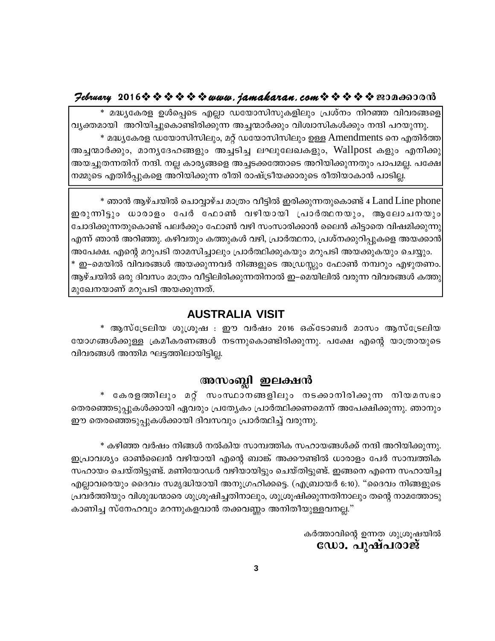#### $\mathcal{P}$ ebruary 2016 $\hat{\mathbf{v}} \triangleq \hat{\mathbf{v}} \triangleq \hat{\mathbf{v}} \triangleq \mathbf{v}$  and  $\mathbf{v}$ . jamakaran. com  $\hat{\mathbf{v}} \triangleq \hat{\mathbf{v}} \triangleq \hat{\mathbf{v}}$  and  $\mathbf{v}$

മദ്ധ്യകേരള ഉൾപ്പെടെ എല്ലാ ഡയോസിസുകളിലും പ്രശ്നം നിറഞ്ഞ വിവരങ്ങളെ വ്യക്തമായി അറിയിച്ചുകൊണ്ടിരിക്കുന്ന അച്ചന്മാർക്കും വിശ്വാസികൾക്കും നന്ദി പറയുന്നു. \* മദ്ധ്യകേരള ഡയോസിസിലും, മറ്റ് ഡയോസിസിലും ഉള്ള Amendments നെ എതിർത്ത അച്ചന്മാർക്കും, മാനൃദേഹങ്ങളും അച്ചടിച്ച ലഘുലേഖകളും, Wallpost കളും എനിക്കു അയച്ചുതന്നതിന് നന്ദി. നല്ല കാര്യങ്ങളെ അച്ചടക്കത്തോടെ അറിയിക്കുന്നതും പാപമല്ല. പക്ഷേ നമ്മുടെ എതിർപ്പുകളെ അറിയിക്കുന്ന രീതി രാഷ്ട്രീയക്കാരുടെ രീതിയാകാൻ പാടില്ല.

\* ഞാൻ ആഴ്ചയിൽ ചൊവ്വാഴ്ച മാത്രം വീട്ടിൽ ഇരിക്കുന്നതുകൊണ്ട് 4 Land Line phone ഇരുന്നിട്ടും ധാരാളം പേർ ഫോൺ വഴിയായി പ്രാർത്ഥനയും, ആലോചനയും ചോദിക്കുന്നതുകൊണ്ട് പലർക്കും ഫോൺ വഴി സംസാരിക്കാൻ ലൈൻ കിട്ടാതെ വിഷമിക്കുന്നു എന്ന് ഞാൻ അറിഞ്ഞു. കഴിവതും കത്തുകൾ വഴി, പ്രാർത്ഥനാ, പ്രശ്നക്കുറിപ്പുകളെ അയക്കാൻ| അപേക്ഷ. എന്റെ മറുപടി താമസിച്ചാലും പ്രാർത്ഥിക്കുകയും മറുപടി അയക്കുകയും ചെയ്യും. \* ഇ–മെയിൽ വിവരങ്ങൾ അയക്കുന്നവർ നിങ്ങളുടെ അഡ്രസ്സും ഫോൺ നമ്പറും എഴുതണം. ആഴ്ചയിൽ ഒരു ദിവസം മാത്രം വീട്ടിലിരിക്കുന്നതിനാൽ ഇ–മെയിലിൽ വരുന്ന വിവരങ്ങൾ കത്തു മുഖേനയാണ് മറുപടി അയക്കുന്നത്.

#### **AUSTRALIA VISIT**

\* ആസ്ട്രേലിയ ശുശ്രൂഷ : ഈ വർഷം 2016 ഒക്ടോബർ മാസം ആസ്ട്രേലിയ യോഗങ്ങൾക്കുള്ള ക്രമീകരണങ്ങൾ നടന്നുകൊണ്ടിരിക്കുന്നു. പക്ഷേ എന്റെ യാത്രായുടെ വിവരങ്ങൾ അന്തിമ ഘട്ടത്തിലായിട്ടില്ല.

## അസംബ്ലി ഇലക്ഷൻ

∗ കേരളത്തിലും മറ്റ് സംസ്ഥാനങ്ങളിലും നടക്കാനിരിക്കുന്ന നിയമസഭാ തെരഞ്ഞെടുപ്പുകൾക്കായി ഏവരും പ്രത്യേകം പ്രാർത്ഥിക്കണമെന്ന് അപേക്ഷിക്കുന്നു. ഞാനും ഈ തെരഞ്ഞെടുപ്പുകൾക്കായി ദിവസവും പ്രാർത്ഥിച്ച് വരുന്നു.

\* കഴിഞ്ഞ വർഷം നിങ്ങൾ നൽകിയ സാമ്പത്തിക സഹായങ്ങൾക്ക് നന്ദി അറിയിക്കുന്നു. ഇപ്രാവശ്യം ഓൺലൈൻ വഴിയായി എന്റെ ബാങ്ക് അക്കൗണ്ടിൽ ധാരാളം പേർ സാമ്പത്തിക സഹായം ചെയ്തിട്ടുണ്ട്. മണിയോഡർ വഴിയായിട്ടും ചെയ്തിട്ടുണ്ട്. ഇങ്ങനെ എന്നെ സഹായിച്ച എല്ലാവരെയും ദൈവം സമൃദ്ധിയായി അനുഗ്രഹിക്കട്ടെ. (എബ്രായർ 6:10). "ദൈവം നിങ്ങളുടെ പ്രവർത്തിയും വിശുദ്ധന്മാരെ ശുശ്രൂഷിച്ചതിനാലും, ശുശ്രൂഷിക്കുന്നതിനാലും തന്റെ നാമത്തോടു കാണിച്ച സ്നേഹവും മറന്നുകളവാൻ തക്കവണ്ണം അനിതീയുള്ളവനല്ല."

> കർത്താവിന്റെ ഉന്നത ശുശ്രൂഷയിൽ ഡോ. പുഷ്പരാജ്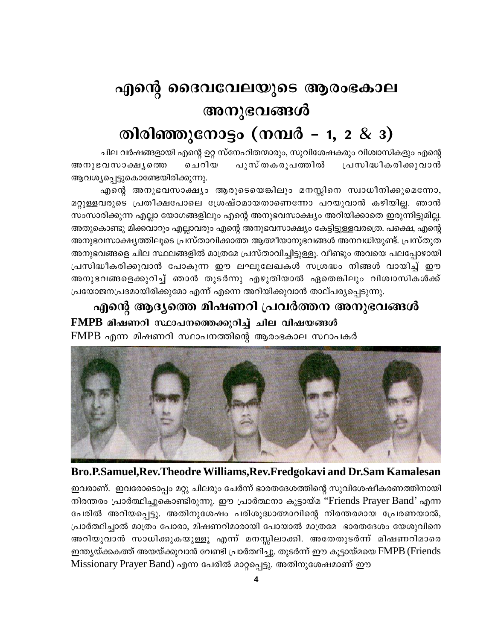# എന്റെ ദൈവവേലയുടെ ആരംഭകാല അനുഭവങ്ങൾ തിരിഞ്ഞുനോട്ടം (നമ്പർ - 1, 2 & 3)

ചില വർഷങ്ങളായി എന്റെ ഉറ്റ സ്നേഹിതന്മാരും, സുവിശേഷകരും വിശ്വാസികളും എന്റെ പുസ് തകരുപത്തി**ൽ** പ്രസിദ്ധീകരിക്കുവാൻ അനുഭവസാക്ഷ്യത്തെ ചെറിയ ആവശ്യപ്പെട്ടുകൊണ്ടേയിരിക്കുന്നു.

എന്റെ അനുഭവസാക്ഷ്യം ആരുടെയെങ്കിലും മനസ്സിനെ സ്വാധീനിക്കുമെന്നോ, മറ്റുള്ളവരുടെ പ്രതീക്ഷപോലെ ശ്രേഷ്ഠമായതാണെന്നോ പറയുവാൻ കഴിയില്ല. ഞാൻ സംസാരിക്കുന്ന എല്ലാ യോഗങ്ങളിലും എന്റെ അനുഭവസാക്ഷ്യം അറിയിക്കാതെ ഇരുന്നിട്ടുമില്ല. അതുകൊണ്ടു മിക്കവാറും എല്ലാവരും എന്റെ അനുഭവസാക്ഷ്യം കേട്ടിട്ടുള്ളവരത്രെ. പക്ഷെ, എന്റെ അനുഭവസാക്ഷ്യത്തിലൂടെ പ്രസ്താവിക്കാത്ത ആത്മീയാനുഭവങ്ങൾ അനവധിയുണ്ട്. പ്രസ്തുത അനുഭവങ്ങളെ ചില സ്ഥലങ്ങളിൽ മാത്രമേ പ്രസ്താവിച്ചിട്ടുള്ളൂ. വീണ്ടും അവയെ പലപ്പോഴായി പ്രസിദ്ധീകരിക്കുവാൻ പോകുന്ന ഈ ലഘുലേഖകൾ സശ്രദ്ധം നിങ്ങൾ വായിച്ച് ഈ അനുഭവങ്ങളെക്കുറിച്ച് ഞാൻ തുടർന്നു എഴുതിയാൽ ഏതെങ്കിലും വിശ്വാസികൾക്ക് പ്രയോജനപ്രദമായിരിക്കുമോ എന്ന് എന്നെ അറിയിക്കുവാൻ താല്പര്യപ്പെടുന്നു.

എന്റെ ആദ്യത്തെ മിഷണറി പ്രവർത്തന അനുഭവങ്ങൾ FMPB മിഷണറി സ്ഥാപനത്തെക്കുറിച്ച് ചില വിഷയങ്ങൾ FMPB എന്ന മിഷണറി സ്ഥാപനത്തിന്റെ ആരംഭകാല സ്ഥാപകർ





ഇവരാണ്. ഇവരോടൊപ്പം മറ്റു ചിലരും ചേർന്ന് ഭാരതദേശത്തിന്റെ സുവിശേഷീകരണത്തിനായി നിരന്തരം പ്രാർത്ഥിച്ചുകൊണ്ടിരുന്നു. ഈ പ്രാർത്ഥനാ കൂട്ടായ്മ ''Friends Prayer Band' എന്ന പേരിൽ അറിയപ്പെട്ടു. അതിനുശേഷം പരിശുദ്ധാത്മാവിന്റെ നിരന്തരമായ പ്രേരണയാൽ, പ്രാർത്ഥിച്ചാൽ മാത്രം പോരാ, മിഷണറിമാരായി പോയാൽ മാത്രമേ ഭാരതദേശം യേശുവിനെ അറിയുവാൻ സാധിക്കുകയുള്ളൂ എന്ന് മനസ്സിലാക്കി. അതേതുടർന്ന് മിഷണറിമാരെ ഇന്ത്യയ്ക്കകത്ത് അയയ്ക്കുവാൻ വേണ്ടി പ്രാർത്ഥിച്ചു. തുടർന്ന് ഈ കൂട്ടായ്മയെ FMPB (Friends Missionary Prayer Band) എന്ന പേരിൽ മാറ്റപ്പെട്ടു. അതിനുശേഷമാണ് ഈ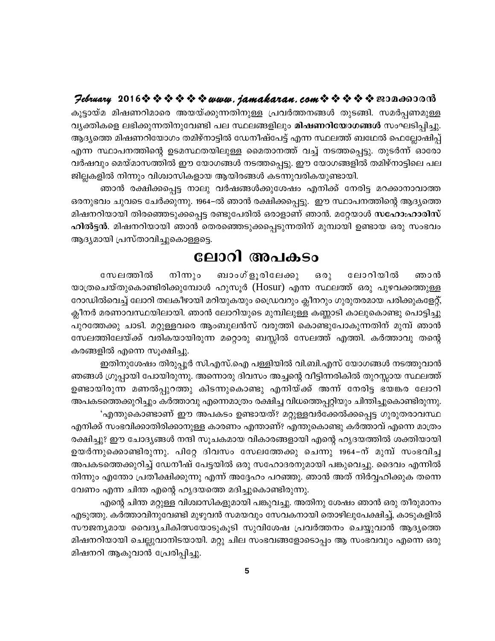## Jebruary 2016 \$ \$ \$ \$ \$ \$ www.jamakaran.com \$ \$ \$ \$ \$ BOD A60000

കൂട്ടായ്മ മിഷണറിമാരെ അയയ്ക്കുന്നതിനുള്ള പ്രവർത്തനങ്ങൾ തുടങ്ങി. സമർപ്പണമുള്ള വ്യക്തികളെ ലഭിക്കുന്നതിനുവേണ്ടി പല സ്ഥലങ്ങളിലും മിഷണറിയോഗങ്ങൾ സംഘടിപ്പിച്ചു. ആദ്യത്തെ മിഷണറിയോഗം തമിഴ്നാട്ടിൽ ഡേനീഷ്പേട്ട് എന്ന സ്ഥലത്ത് ബഥേൽ ഫെല്ലോഷിപ്പ് എന്ന സ്ഥാപനത്തിന്റെ ഉടമസ്ഥതയിലുള്ള മൈതാനത്ത് വച്ച് നടത്തപ്പെട്ടു. തുടർന്ന് ഓരോ വർഷവും മെയ്മാസത്തിൽ ഈ യോഗങ്ങൾ നടത്തപ്പെട്ടു. ഈ യോഗങ്ങളിൽ തമിഴ്നാട്ടിലെ പല ജില്ലകളിൽ നിന്നും വിശ്വാസികളായ ആയിരങ്ങൾ കടന്നുവരികയുണ്ടായി.

ഞാൻ രക്ഷിക്കപ്പെട്ട നാലു വർഷങ്ങൾക്കുശേഷം എനിക്ക് നേരിട്ട മറക്കാനാവാത്ത ഒരനുഭവം ചുവടെ ചേർക്കുന്നു. 1964–ൽ ഞാൻ രക്ഷിക്കപ്പെട്ടു. ഈ സ്ഥാപനത്തിന്റെ ആദ്യത്തെ മിഷനറിയായി തിരഞ്ഞെടുക്കപ്പെട്ട രണ്ടുപേരിൽ ഒരാളാണ് ഞാൻ. മറ്റേയാൾ സഹോ:ഹാരിസ് ഹിൽട്ടൻ. മിഷനറിയായി ഞാൻ തെരഞ്ഞെടുക്കപ്പെടുന്നതിന് മുമ്പായി ഉണ്ടായ ഒരു സംഭവം ആദ്യമായി പ്രസ്താവിച്ചുകൊള്ളട്ടെ.

# ലോറി അപകടം

നിന്നും ബാംഗ്ളൂരിലേക്കു സേലത്തിൽ ഒരു ലോറിയിൽ ഞാൻ യാത്രചെയ്തുകൊണ്ടിരിക്കുമ്പോൾ ഹുസൂർ (Hosur) എന്ന സ്ഥലത്ത് ഒരു പുഴവക്കത്തുള്ള റോഡിൽവെച്ച് ലോറി തലകീഴായി മറിയുകയും ഡ്രൈവറും ക്ലീനറും ഗുരുതരമായ പരിക്കുകളേറ്റ്, ക്ലീനർ മരണാവസ്ഥയിലായി. ഞാൻ ലോറിയുടെ മുമ്പിലുള്ള കണ്ണാടി കാലുകൊണ്ടു പൊട്ടിച്ചു പുറത്തേക്കു ചാടി. മറ്റുള്ളവരെ ആംബുലൻസ് വരുത്തി കൊണ്ടുപോകുന്നതിന് മുമ്പ് ഞാൻ സേലത്തിലേയ്ക്ക് വരികയായിരുന്ന മറ്റൊരു ബസ്സിൽ സേലത്ത് എത്തി. കർത്താവു തന്റെ കരങ്ങളിൽ എന്നെ സൂക്ഷിച്ചു.

ഇതിനുശേഷം തിരുപ്പൂർ സി.എസ്.ഐ പള്ളിയിൽ വി.ബി.എസ് യോഗങ്ങൾ നടത്തുവാൻ ഞങ്ങൾ ഗ്രൂപ്പായി പോയിരുന്നു. അന്നൊരു ദിവസം അച്ചന്റെ വീട്ടിന്നരികിൽ തുറസ്സായ സ്ഥലത്ത് ഉണ്ടായിരുന്ന മണൽപ്പുറത്തു കിടന്നുകൊണ്ടു എനിയ്ക്ക് അന്ന് നേരിട്ട ഭയങ്കര ലോറി അപകടത്തെക്കുറിച്ചും കർത്താവു എന്നെമാത്രം രക്ഷിച്ച വിധത്തെപ്പറ്റിയും ചിന്തിച്ചുകൊണ്ടിരുന്നു.

'എന്തുകൊണ്ടാണ് ഈ അപകടം ഉണ്ടായത്? മറ്റുള്ളവർക്കേൽക്കപ്പെട്ട ഗുരുതരാവസ്ഥ എനിക്ക് സംഭവിക്കാതിരിക്കാനുള്ള കാരണം എന്താണ്? എന്തുകൊണ്ടു കർത്താവ് എന്നെ മാത്രം രക്ഷിച്ചു? ഈ ചോദ്യങ്ങൾ നന്ദി സൂചകമായ വികാരങ്ങളായി എന്റെ ഹൃദയത്തിൽ ശക്തിയായി ഉയർന്നുക്കൊണ്ടിരുന്നു. പിറ്റേ ദിവസം സേലത്തേക്കു ചെന്നു 1964–ന് മുമ്പ് സംഭവിച്ച അപകടത്തെക്കുറിച്ച് ഡേനീഷ് പേട്ടയിൽ ഒരു സഹോദരനുമായി പങ്കുവെച്ചു. ദൈവം എന്നിൽ നിന്നും എന്തോ പ്രതീക്ഷിക്കുന്നു എന്ന് അദ്ദേഹം പറഞ്ഞു. ഞാൻ അത് നിർവ്വഹിക്കുക തന്നെ വേണം എന്ന ചിന്ത എന്റെ ഹൃദയത്തെ മദിച്ചുകൊണ്ടിരുന്നു.

എന്റെ ചിന്ത മറ്റുള്ള വിശ്വാസികളുമായി പങ്കുവച്ചു. അതിനു ശേഷം ഞാൻ ഒരു തീരുമാനം എടുത്തു. കർത്താവിനുവേണ്ടി മുഴുവൻ സമയവും സേവകനായി തൊഴിലുപേക്ഷിച്ച്, കാടുകളിൽ സൗജന്യമായ വൈദ്യചികിത്സയോടുകൂടി സുവിശേഷ പ്രവർത്തനം ചെയ്യുവാൻ ആദ്യത്തെ മിഷനറിയായി ചെല്ലുവാനിടയായി. മറ്റു ചില സംഭവങ്ങളോടൊപ്പം ആ സംഭവവും എന്നെ ഒരു മിഷനറി ആകുവാൻ പ്രേരിപ്പിച്ചു.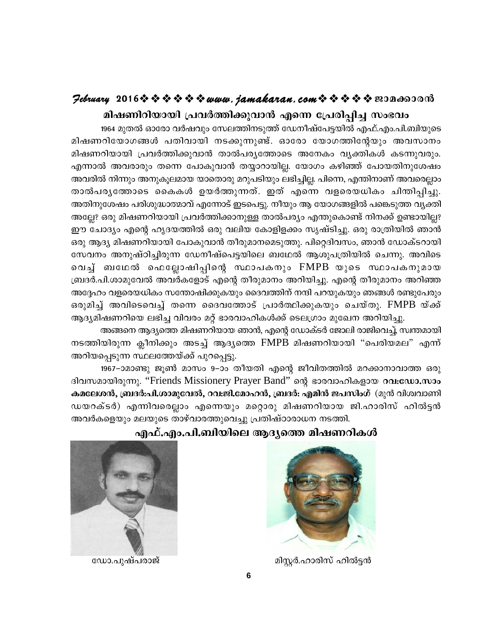#### $\mathcal{P}$ ebruary 2016 $\rightsquigarrow \rightsquigarrow \rightsquigarrow \rightsquigarrow \rightsquigarrow uww.$  jamakaran.com $\rightsquigarrow \rightsquigarrow \rightsquigarrow \rightsquigarrow \rightsquigarrow \text{exp}$

മിഷണിറിയായി പ്രവർത്തിക്കുവാൻ എന്നെ പ്രേരിപ്പിച്ച സംഭവം

1964 മുതൽ ഓരോ വർഷവും സേലത്തിനടുത്ത് ഡേനീഷ്പേട്ടയിൽ എഫ്.എം.പി.ബിയുടെ മിഷണറിയോഗങ്ങൾ പതിവായി നടക്കുന്നുണ്ട്. ഓരോ യോഗത്തിന്റേയും അവസാനം മിഷണറിയായി പ്രവർത്തിക്കുവാൻ താൽപര്യത്തോടെ അനേകം വ്യക്തികൾ കടന്നുവരും. എന്നാൽ അവരാരും തന്നെ പോകുവാൻ തയ്യാറായില്ല. യോഗം കഴിഞ്ഞ് പോയതിനുശേഷം അവരിൽ നിന്നും അനുകൂലമായ യാതൊരു മറുപടിയും ലഭിച്ചില്ല. പിന്നെ, എന്തിനാണ് അവരെല്ലാം താൽപരൃത്തോടെ കൈകൾ ഉയർത്തുന്നത്. ഇത് എന്നെ വളരെയധികം ചിന്തിപ്പിച്ചു. അതിനുശേഷം പരിശുദ്ധാത്മാവ് എന്നോട് ഇടപെട്ടു. നീയും ആ യോഗങ്ങളിൽ പങ്കെടുത്ത വൃക്തി അല്ലേ? ഒരു മിഷണറിയായി പ്രവർത്തിക്കാനുള്ള താൽപര്യം എന്തുകൊണ്ട് നിനക്ക് ഉണ്ടായില്ല? ഈ ചോദ്യം എന്റെ ഹൃദയത്തിൽ ഒരു വലിയ കോളിളക്കം സൃഷ്ടിച്ചു. ഒരു രാത്രിയിൽ ഞാൻ ഒരു ആദ്യ മിഷണറിയായി പോകുവാൻ തീരുമാനമെടുത്തു. പിറ്റെദിവസം, ഞാൻ ഡോക്ടറായി സേവനം അനുഷ്ഠിച്ചിരുന്ന ഡേനീഷ്പെട്ടയിലെ ബഥേൽ ആശുപത്രിയിൽ ചെന്നു. അവിടെ വെച്ച് ബഥേൽ ഫെല്ലോഷിപ്പിന്റെ സ്ഥാപകനും FMPB യുടെ സ്ഥാപകനുമായ ബ്രദർ.പി.ശാമുവേൽ അവർകളോട് എന്റെ തീരുമാനം അറിയിച്ചു. എന്റെ തീരുമാനം അറിഞ്ഞ അദ്ദേഹം വളരെയധികം സന്തോഷിക്കുകയും ദൈവത്തിന് നന്ദി പറയുകയും ഞങ്ങൾ രണ്ടുപേരും ഒരുമിച്ച് അവിടെവെച്ച് തന്നെ ദൈവത്തോട് പ്രാർത്ഥിക്കുകയും ചെയ്തു. FMPB യ്ക്ക് ആദ്യമിഷണറിയെ ലഭിച്ച വിവരം മറ്റ് ഭാരവാഹികൾക്ക് ടെലഗ്രാം മുഖേന അറിയിച്ചു.

അങ്ങനെ ആദ്യത്തെ മിഷണറിയായ ഞാൻ, എന്റെ ഡോക്ടർ ജോലി രാജിവെച്ച്, സ്വന്തമായി നടത്തിയിരുന്ന ക്ലീനിക്കും അടച്ച് ആദൃത്തെ FMPB മിഷണറിയായി "പെരിയമല" എന്ന് അറിയപ്പെടുന്ന സ്ഥലത്തേയ്ക്ക് പുറപ്പെട്ടു.

1967–ാമാണ്ടു ജൂൺ മാസം 9–ാം തീയതി എന്റെ ജീവിതത്തിൽ മറക്കാനാവാത്ത ഒരു ദിവസമായിരുന്നു. "Friends Missionery Prayer Band" ന്റെ ഭാരവാഹികളായ റവ:ഡോ.സാം കമലേശൻ, ബ്രദർ:പി.ശാമുവേൽ, റവ:ജി.മോഹൻ, ബ്രദർ: എമിൻ ജപസിംഗ് (മുൻ വിശ്വവാണി ഡയറക്ടർ) എന്നിവരെല്ലാം എന്നെയും മറ്റൊരു മിഷണറിയായ ജി.ഹാരിസ് ഹിൽട്ടൻ അവർകളെയും മലയുടെ താഴ്വാരത്തുവെച്ചു പ്രതിഷ്ഠാരാധന നടത്തി.



മിസ്റ്റർ.ഹാരിസ് ഹിൽട്ടൻ

#### എഫ്.എം.പി.ബിയിലെ ആദൃത്തെ മിഷണറികൾ



ഡോ.പുഷ്പരാജ്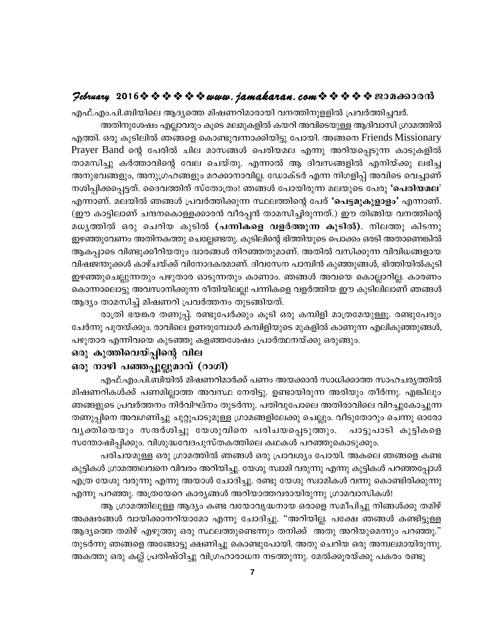#### $\mathcal{P}$ ebruary 2016 $\hat{\mathbf{v}} \triangleq \hat{\mathbf{v}} \triangleq \hat{\mathbf{v}} \triangleq \mathbf{v}$  and  $i$  and  $k$  are  $n$ , com  $\hat{\mathbf{v}} \triangleq \hat{\mathbf{v}} \triangleq \hat{\mathbf{v}}$  and  $\mathbf{v}$  and  $\mathbf{v}$

എഫ്.എം.പി.ബിയിലെ ആദ്യത്തെ മിഷണറിമാരായി വനത്തിനുളളിൽ പ്രവർത്തിച്ചവർ. അതിനുശേഷം എല്ലാവരും കൂടെ മലമുകളിൽ കയറി അവിടെയുള്ള ആദിവാസി ഗ്രാമത്തിൽ എത്തി. ഒരു കൂടിലിൽ ഞങ്ങളെ കൊണ്ടുവന്നാക്കിയിട്ടു പോയി. അങ്ങനെ Friends Missionary Prayer Band ന്റെ പേരിൽ ചില മാസങ്ങൾ പെരിയമല എന്നു അറിയപ്പെടുന്ന കാടുകളിൽ താമസിച്ചു കർത്താവിന്റെ വേല ചെയ്തു. എന്നാൽ ആ ദിവസങ്ങളിൽ എനിയ്ക്കു ലഭിച്ച അനുഭവങ്ങളും, അനുഗ്രഹങ്ങളും മറക്കാനാവില്ല. ഡോക്ടർ എന്ന നിഗളിപ്പ് അവിടെ വെച്ചാണ് നശിപ്പിക്കപ്പെട്ടത്. ദൈവത്തിന് സ്തോത്രം! ഞങ്ങൾ പോയിരുന്ന മലയുടെ പേരു 'പെരിയമല' എന്നാണ്. മലയിൽ ഞങ്ങൾ പ്രവർത്തിക്കുന്ന സ്ഥലത്തിന്റെ പേര് 'പെട്ടമുകുളാളം' എന്നാണ്. (ഈ കാട്ടിലാണ് ചന്ദനകൊള്ളക്കാരൻ വീരപ്പൻ താമസിച്ചിരുന്നത്.) ഈ തിങ്ങിയ വനത്തിന്റെ മധൃത്തിൽ ഒരു ചെറിയ കുടിൽ (പന്നികളെ വളർത്തുന്ന കുടിൽ). നിലത്തു കിടന്നു ഇഴഞ്ഞുവേണം അതിനകത്തു ചെല്ലേണ്ടതു. കുടിലിന്റെ ഭിത്തിയുടെ പൊക്കം ഒരടി അതാണെങ്കിൽ ആകപ്പാടെ വിണ്ടുക്കീറിയതും ദ്വാരങ്ങൾ നിറഞ്ഞതുമാണ്. അതിൽ വസിക്കുന്ന വിവിധങ്ങളായ വിഷജന്തുക്കൾ കാഴ്ചയ്ക്ക് വിനോദകരമാണ്. ദിവസേന പാമ്പിൻ കുഞ്ഞുങ്ങൾ, ഭിത്തിയിൽകൂടി ഇഴഞ്ഞുചെല്ലുന്നതും പഴുതാര ഓടുന്നതും കാണാം. ഞങ്ങൾ അവയെ കൊല്ലാറില്ല. കാരണം കൊന്നാലൊട്ടു അവസാനിക്കുന്ന രീതിയിലല്ല! പന്നികളെ വളർത്തിയ ഈ കുടിലിലാണ് ഞങ്ങൾ ആദ്യം താമസിച്ച് മിഷണറി പ്രവർത്തനം തുടങ്ങിയത്.

രാത്രി ഭയങ്കര തണുപ്പ്. രണ്ടുപേർക്കും കൂടി ഒരു കമ്പിളി മാത്രമേയുള്ളൂ. രണ്ടുപേരും ചേർന്നു പുതയ്ക്കും. രാവിലെ ഉണരുമ്പോൾ കമ്പിളിയുടെ മുകളിൽ കാണുന്ന എലികുഞ്ഞുങ്ങൾ, പഴുതാര എന്നിവയെ കുടഞ്ഞു കളഞ്ഞശേഷം പ്രാർത്ഥനയ്ക്കു ഒരുങ്ങും.

#### ഒരു കുത്തിവെയ്പ്പിന്റെ വില

#### ഒരു നാഴി പഞ്ഞപ്പുല്ലുമാവ് (റാഗി)

എഫ്.എം.പി.ബിയിൽ മിഷണറിമാർക്ക് പണം അയക്കാൻ സാധിക്കാത്ത സാഹചര്യത്തിൽ മിഷണറികൾക്ക് പണമില്ലാത്ത അവസ്ഥ നേരിട്ടു. ഉണ്ടായിരുന്ന അരിയും തീർന്നു. എങ്കിലും ഞങ്ങളുടെ പ്രവർത്തനം നിർവിഘ്നം തുടർന്നു. പതിവുപോലെ അതിരാവിലെ വിറച്ചുകോച്ചുന്ന തണുപ്പിനെ അവഗണിച്ചു ചുറ്റുപാടുമുള്ള ഗ്രാമങ്ങളിലേക്കു ചെല്ലും. വീടുതോറും ചെന്നു ഓരോ വൃക്തിയെയും സന്ദർശിച്ചു യേശുവിനെ പരിചയപ്പെടുത്തും. പാട്ടുപാടി കുട്ടികളെ സന്തോഷിപ്പിക്കും. വിശുദ്ധവേദപുസ്തകത്തിലെ കഥകൾ പറഞ്ഞുകൊടുക്കും.

പരിചയമുള്ള ഒരു ഗ്രാമത്തിൽ ഞങ്ങൾ ഒരു പ്രാവശ്യം പോയി. അകലെ ഞങ്ങളെ കണ്ട കുട്ടികൾ ഗ്രാമത്തലവനെ വിവരം അറിയിച്ചു. യേശു സ്വാമി വരുന്നു എന്നു കുട്ടികൾ പറഞ്ഞപ്പോൾ എത്ര യേശു വരുന്നു എന്നു അയാൾ ചോദിച്ചു. രണ്ടു യേശു സ്വാമികൾ വന്നു കൊണ്ടിരിക്കുന്നു എന്നു പറഞ്ഞു. അത്രയേറെ കാര്യങ്ങൾ അറിയാത്തവരായിരുന്നു ഗ്രാമവാസികൾ!

ആ ഗ്രാമത്തിലുള്ള ആദ്യം കണ്ട വയോവൃദ്ധനായ ഒരാളെ സമീപിച്ചു നിങ്ങൾക്കു തമിഴ് അക്ഷരങ്ങൾ വായിക്കാനറിയാമോ എന്നു ചോദിച്ചു. "അറിയില്ല. പക്ഷേ ഞങ്ങൾ കണ്ടിട്ടുള്ള ആദ്യത്തെ തമിഴ് എഴുത്തു ഒരു സ്ഥലത്തുണ്ടെന്നും തനിക്ക് അതു അറിയുമെന്നും പറഞ്ഞു." തുടർന്നു ഞങ്ങളെ അങ്ങോട്ടു ക്ഷണിച്ചു കൊണ്ടുപോയി. അതു ചെറിയ ഒരു അമ്പലമായിരുന്നു. അകത്തു ഒരു കല്ല് പ്രതിഷ്ഠിച്ചു വിഗ്രഹാരാധന നടത്തുന്നു. മേൽക്കൂരയ്ക്കു പകരം രണ്ടു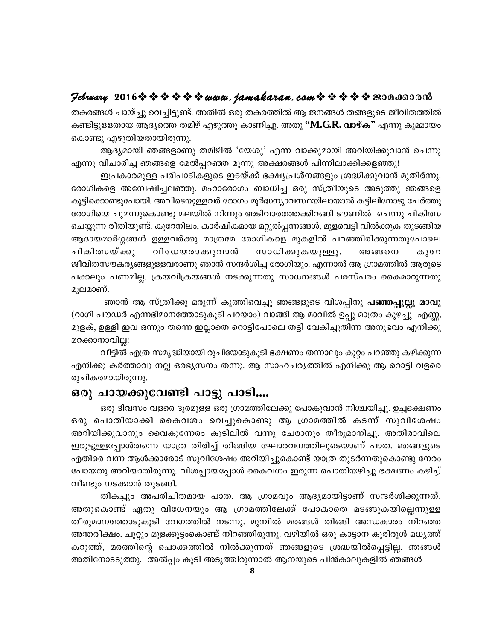#### $\mathcal{P}$ ebruary 2016 $\hat{\mathbf{v}} \triangleq \hat{\mathbf{v}} \triangleq \hat{\mathbf{v}} \triangleq \mathbf{v}$  and  $i$  amakaran.com  $\hat{\mathbf{v}} \triangleq \hat{\mathbf{v}} \triangleq \mathbf{v}$  and  $\mathbf{v}$

തകരങ്ങൾ ചായ്ച്ചു വെച്ചിട്ടുണ്ട്. അതിൽ ഒരു തകരത്തിൽ ആ ജനങ്ങൾ തങ്ങളുടെ ജീവിതത്തിൽ കണ്ടിട്ടുള്ളതായ ആദ്യത്തെ തമിഴ് എഴുത്തു കാണിച്ചു. അതു "M.G.R. വാഴ്ക" എന്നു കുമ്മായം കൊണ്ടു എഴുതിയതായിരുന്നു.

ആദ്യമായി ഞങ്ങളാണു തമിഴിൽ 'യേശു' എന്ന വാക്കുമായി അറിയിക്കുവാൻ ചെന്നു

എന്നു വിചാരിച്ച ഞങ്ങളെ മേൽപ്പറഞ്ഞ മൂന്നു അക്ഷരങ്ങൾ പിന്നിലാക്കിക്കളഞ്ഞു! ഇപ്രകാരമുള്ള പരിപാടികളുടെ ഇടയ്ക്ക് ഭക്ഷ്യപ്രശ്നങ്ങളും ശ്രദ്ധിക്കുവാൻ മുതിർന്നു. രോഗികളെ അന്വേഷിച്ചലഞ്ഞു. മഹാരോഗം ബാധിച്ച ഒരു സ്ത്രീയുടെ അടുത്തു ഞങ്ങളെ കൂട്ടിക്കൊണ്ടുപോയി. അവിടെയുള്ളവർ രോഗം മൂർദ്ധന്യാവസ്ഥയിലായാൽ കട്ടിലിനോടു ചേർത്തു രോഗിയെ ചുമന്നുകൊണ്ടു മലയിൽ നിന്നും അടിവാരത്തേക്കിറങ്ങി ടൗണിൽ ചെന്നു ചികിത്സ ചെയ്യുന്ന രീതിയുണ്ട്. കുറേനിലം, കാർഷികമായ മറ്റുൽപ്പന്നങ്ങൾ, മുളവെട്ടി വിൽക്കുക തുടങ്ങിയ ആദായമാർഗ്ഗങ്ങൾ ഉള്ളവർക്കു മാത്രമേ രോഗികളെ മുകളിൽ പറഞ്ഞിരിക്കുന്നതുപോലെ ചികിത്സയ് ക്കു വിധേയരാക്കുവാൻ സാധിക്കുകയുള്ളൂ. അങ്ങനെ കുറേ ജീവിതസൗകര്യങ്ങളുള്ളവരാണു ഞാൻ സന്ദർശിച്ച രോഗിയും. എന്നാൽ ആ ഗ്രാമത്തിൽ ആരുടെ പക്കലും പണമില്ല. ക്രയവിക്രയങ്ങൾ നടക്കുന്നതു സാധനങ്ങൾ പരസ്പരം കൈമാറുന്നതു മുലമാണ്.

ഞാൻ ആ സ്ത്രീക്കു മരുന്ന് കുത്തിവെച്ചു ഞങ്ങളുടെ വിശപ്പിനു പഞ്ഞപ്പുല്ലു മാവു (റാഗി പൗഡർ എന്നഭിമാനത്തോടുകൂടി പറയാം) വാങ്ങി ആ മാവിൽ ഉപ്പു മാത്രം കുഴച്ചു എണ്ണ, മുളക്, ഉള്ളി ഇവ ഒന്നും തന്നെ ഇല്ലാതെ റൊട്ടിപോലെ തട്ടി വേകിച്ചുതിന്ന അനുഭവം എനിക്കു മറക്കാനാവില്ല!

വീട്ടിൽ എത്ര സമൃദ്ധിയായി രുചിയോടുകൂടി ഭക്ഷണം തന്നാലും കുറ്റം പറഞ്ഞു കഴിക്കുന്ന എനിക്കു കർത്താവു നല്ല ഒരഭ്യസനം തന്നു. ആ സാഹചര്യത്തിൽ എനിക്കു ആ റൊട്ടി വളരെ രുചികരമായിരുന്നു.

## ഒരു ചായക്കുവേണ്ടി പാട്ടു പാടി....

ഒരു ദിവസം വളരെ ദൂരമുള്ള ഒരു ഗ്രാമത്തിലേക്കു പോകുവാൻ നിശ്ചയിച്ചു. ഉച്ചഭക്ഷണം ഒരു പൊതിയാക്കി കൈവശം വെച്ചുകൊണ്ടു ആ ഗ്രാമത്തിൽ കടന്ന് സുവിശേഷം അറിയിക്കുവാനും വൈകുന്നേരം കുടിലിൽ വന്നു ചേരാനും തീരുമാനിച്ചു. അതിരാവിലെ ഇരുട്ടുള്ളപ്പോൾതന്നെ യാത്ര തിരിച്ച് തിങ്ങിയ ഘോരവനത്തിലൂടെയാണ് പാത. ഞങ്ങളുടെ എതിരെ വന്ന ആൾക്കാരോട് സുവിശേഷം അറിയിച്ചുകൊണ്ട് യാത്ര തുടർന്നതുകൊണ്ടു നേരം പോയതു അറിയാതിരുന്നു. വിശപ്പായപ്പോൾ കൈവശം ഇരുന്ന പൊതിയഴിച്ചു ഭക്ഷണം കഴിച്ച് വീണ്ടും നടക്കാൻ തുടങ്ങി.

തികച്ചും അപരിചിതമായ പാത, ആ ഗ്രാമവും ആദ്യമായിട്ടാണ് സന്ദർശിക്കുന്നത്. അതുകൊണ്ട് ഏതു വിധേനയും ആ ഗ്രാമത്തിലേക്ക് പോകാതെ മടങ്ങുകയില്ലെന്നുള്ള തീരുമാനത്തോടുകൂടി വേഗത്തിൽ നടന്നു. മുമ്പിൽ മരങ്ങൾ തിങ്ങി അന്ധകാരം നിറഞ്ഞ അന്തരീക്ഷം. ചുറ്റും മുളക്കൂട്ടംകൊണ്ട് നിറഞ്ഞിരുന്നു. വഴിയിൽ ഒരു കാട്ടാന കൂരിരുൾ മധ്യത്ത് കറുത്ത്, മരത്തിന്റെ പൊക്കത്തിൽ നിൽക്കുന്നത് ഞങ്ങളുടെ ശ്രദ്ധയിൽപ്പെട്ടില്ല. ഞങ്ങൾ അതിനോടടുത്തു. അൽപ്പം കൂടി അടുത്തിരുന്നാൽ ആനയുടെ പിൻകാലുകളിൽ ഞങ്ങൾ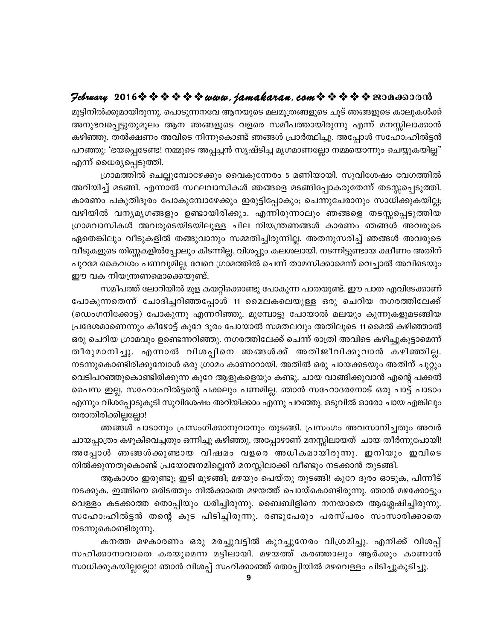#### $\mathcal{P}$ ebruary 2016 $\hat{\mathbf{v}} \triangleq \hat{\mathbf{v}} \triangleq \hat{\mathbf{v}} \triangleq \mathbf{v}$  and  $i$  amakaran.com  $\hat{\mathbf{v}} \triangleq \hat{\mathbf{v}} \triangleq \mathbf{v}$  and  $\mathbf{v}$

മുട്ടിനിൽക്കുമായിരുന്നു. പൊടുന്നനവേ ആനയുടെ മലമൂത്രങ്ങളുടെ ചൂട് ഞങ്ങളുടെ കാലുകൾക്ക് അനുഭവപ്പെട്ടുതുമൂലം ആന ഞങ്ങളുടെ വളരെ സമീപത്തായിരുന്നു എന്ന് മനസ്സിലാക്കാൻ കഴിഞ്ഞു. തൽക്ഷണം അവിടെ നിന്നുകൊണ്ട് ഞങ്ങൾ പ്രാർത്ഥിച്ചു. അപ്പോൾ സഹോ:ഹിൽട്ടൻ പറഞ്ഞു: 'ഭയപ്പെടേണ്ട! നമ്മുടെ അപ്പച്ചൻ സൃഷ്ടിച്ച മൃഗമാണല്ലോ നമ്മയൊന്നും ചെയ്യുകയില്ല" എന്ന് ധൈര്യപ്പെടുത്തി.

ഗ്രാമത്തിൽ ചെല്ലുമ്പോഴേക്കും വൈകുന്നേരം 5 മണിയായി. സുവിശേഷം വേഗത്തിൽ അറിയിച്ച് മടങ്ങി. എന്നാൽ സ്ഥലവാസികൾ ഞങ്ങളെ മടങ്ങിപ്പോകരുതേന്ന് തടസ്സപ്പെടുത്തി. കാരണം പകുതിദൂരം പോകുമ്പോഴേക്കും ഇരുട്ടിപ്പോകും; ചെന്നുചേരാനും സാധിക്കുകയില്ല; വഴിയിൽ വന്യമൃഗങ്ങളും ഉണ്ടായിരിക്കും. എന്നിരുന്നാലും ഞങ്ങളെ തടസ്സപ്പെടുത്തിയ ഗ്രാമവാസികൾ അവരുടെയിടയിലുള്ള ചില നിയന്ത്രണങ്ങൾ കാരണം ഞങ്ങൾ അവരുടെ ഏതെങ്കിലും വീടുകളിൽ തങ്ങുവാനും സമ്മതിച്ചിരുന്നില്ല. അതനുസരിച്ച് ഞങ്ങൾ അവരുടെ വീടുകളുടെ തിണ്ണകളിൽപ്പോലും കിടന്നില്ല. വിശപ്പും കലശലായി. നടന്നിട്ടുണ്ടായ ക്ഷീണം അതിന് പുറമേ കൈവശം പണവുമില്ല. വേറെ ഗ്രാമത്തിൽ ചെന്ന് താമസിക്കാമെന്ന് വെച്ചാൽ അവിടെയും ഈ വക നിയന്ത്രണമൊക്കെയുണ്ട്.

സമീപത്ത് ലോറിയിൽ മുള കയറ്റിക്കൊണ്ടു പോകുന്ന പാതയുണ്ട്. ഈ പാത എവിടേക്കാണ് പോകുന്നതെന്ന് ചോദിച്ചറിഞ്ഞപ്പോൾ 11 മൈലകലെയുള്ള ഒരു ചെറിയ നഗരത്തിലേക്ക് (ഡെംഗനിക്കോട്ട) പോകുന്നു എന്നറിഞ്ഞു. മുമ്പോട്ടു പോയാൽ മലയും കുന്നുകളുമടങ്ങിയ പ്രദേശമാണെന്നും കീഴോട്ട് കുറേ ദൂരം പോയാൽ സമതലവും അതിലൂടെ 11 മൈൽ കഴിഞ്ഞാൽ ഒരു ചെറിയ ഗ്രാമവും ഉണ്ടെന്നറിഞ്ഞു. നഗരത്തിലേക്ക് ചെന്ന് രാത്രി അവിടെ കഴിച്ചുകൂട്ടാമെന്ന് തീരുമാനിച്ചു. എന്നാൽ വിശപ്പിനെ ഞങ്ങൾക്ക് അതിജീവിക്കുവാൻ കഴിഞ്ഞില്ല. നടന്നുകൊണ്ടിരിക്കുമ്പോൾ ഒരു ഗ്രാമം കാണാറായി. അതിൽ ഒരു ചായക്കടയും അതിന് ചുറ്റും വെടിപറഞ്ഞുകൊണ്ടിരിക്കുന്ന കുറേ ആളുകളെയും കണ്ടു. ചായ വാങ്ങിക്കുവാൻ എന്റെ പക്കൽ പൈസ ഇല്ല. സഹോ:ഹിൽട്ടന്റെ പക്കലും പണമില്ല. ഞാൻ സഹോദരനോട് ഒരു പാട്ട് പാടാം എന്നും വിശപ്പോടുകൂടി സുവിശേഷം അറിയിക്കാം എന്നു പറഞ്ഞു. ഒടുവിൽ ഓരോ ചായ എങ്കിലും തരാതിരിക്കില്ലല്ലോ!

ഞങ്ങൾ പാടാനും പ്രസംഗിക്കാനുവാനും തുടങ്ങി. പ്രസംഗം അവസാനിച്ചതും അവർ ചായപ്പാത്രം കഴുകിവെച്ചതും ഒന്നിച്ചു കഴിഞ്ഞു. അപ്പോഴാണ് മനസ്സിലായത് ചായ തീർന്നുപോയി! അപ്പോൾ ഞങ്ങൾക്കുണ്ടായ വിഷമം വളരെ അധികമായിരുന്നു. ഇനിയും ഇവിടെ നിൽക്കുന്നതുകൊണ്ട് പ്രയോജനമില്ലെന്ന് മനസ്സിലാക്കി വീണ്ടും നടക്കാൻ തുടങ്ങി.

ആകാശം ഇരുണ്ടു; ഇടി മുഴങ്ങി; മഴയും പെയ്തു തുടങ്ങി! കുറേ ദൂരം ഓടുക, പിന്നീട് നടക്കുക. ഇങ്ങിനെ ഒരിടത്തും നിൽക്കാതെ മഴയത്ത് പൊയ്കൊണ്ടിരുന്നു. ഞാൻ മഴക്കോട്ടും വെള്ളം കടക്കാത്ത തൊപ്പിയും ധരിച്ചിരുന്നു. ബൈബിളിനെ നനയാതെ ആശ്ലേഷിച്ചിരുന്നു. സഹോ:ഹിൽട്ടൻ തന്റെ കുട പിടിച്ചിരുന്നു. രണ്ടുപേരും പരസ്പരം സംസാരിക്കാതെ നടന്നുകൊണ്ടിരുന്നു.

കനത്ത മഴകാരണം ഒരു മരച്ചുവട്ടിൽ കുറച്ചുനേരം വിശ്രമിച്ചു. എനിക്ക് വിശപ്പ് സഹിക്കാനാവാതെ കരയുമെന്ന മട്ടിലായി. മഴയത്ത് കരഞ്ഞാലും ആർക്കും കാണാൻ സാധിക്കുകയില്ലല്ലോ! ഞാൻ വിശപ്പ് സഹിക്കാഞ്ഞ് തൊപ്പിയിൽ മഴവെള്ളം പിടിച്ചുകുടിച്ചു.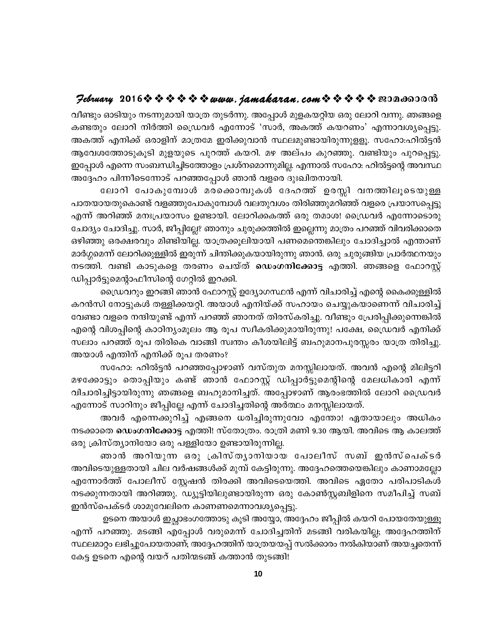## $\mathcal{P}$ ebruary 2016 $\hat{\mathbf{v}} \triangleq \hat{\mathbf{v}} \triangleq \hat{\mathbf{v}} \triangleq \mathbf{v}$  wurth, jamakaran, com  $\hat{\mathbf{v}} \triangleq \hat{\mathbf{v}} \triangleq \mathbf{v}$  en anonom

വീണ്ടും ഓടിയും നടന്നുമായി യാത്ര തുടർന്നു. അപ്പോൾ മുളകയറ്റിയ ഒരു ലോറി വന്നു. ഞങ്ങളെ കണ്ടതും ലോറി നിർത്തി ഡ്രൈവർ എന്നോട് 'സാർ, അകത്ത് കയറണം' എന്നാവശ്യപ്പെട്ടു. അകത്ത് എനിക്ക് ഒരാളിന് മാത്രമേ ഇരിക്കുവാൻ സ്ഥലമുണ്ടായിരുന്നുളളൂ. സഹോ:ഹിൽട്ടൻ ആവേശത്തോടുകൂടി മുളയുടെ പുറത്ത് കയറി. മഴ അല്പം കുറഞ്ഞു. വണ്ടിയും പുറപ്പെട്ടു. ഇപ്പോൾ എന്നെ സംബന്ധിച്ചിടത്തോളം പ്രശ്നമൊന്നുമില്ല. എന്നാൽ സഹോ: ഹിൽട്ടന്റെ അവസ്ഥ അദ്ദേഹം പിന്നീടെന്നോട് പറഞ്ഞപ്പോൾ ഞാൻ വളരെ ദുഃഖിതനായി.

ലോറി പോകുമ്പോൾ മരക്കൊമ്പുകൾ ദേഹത്ത് ഉരസ്സി വനത്തിലൂടെയുള്ള പാതയായതുകൊണ്ട് വളഞ്ഞുപോകുമ്പോൾ വലതുവശം തിരിഞ്ഞുമറിഞ്ഞ് വളരെ പ്രയാസപ്പെട്ടു എന്ന് അറിഞ്ഞ് മനഃപ്രയാസം ഉണ്ടായി. ലോറിക്കകത്ത് ഒരു തമാശ! ഡ്രൈവർ എന്നോടൊരു ചോദ്യം ചോദിച്ചു. സാർ, ജീപ്പില്ലേ? ഞാനും ചുരുക്കത്തിൽ ഇല്ലെന്നു മാത്രം പറഞ്ഞ് വിവരിക്കാതെ ഒഴിഞ്ഞു ഒരക്ഷരവും മിണ്ടിയില്ല. യാത്രക്കൂലിയായി പണമെന്തെങ്കിലും ചോദിച്ചാൽ എന്താണ് മാർഗ്ഗമെന്ന് ലോറിക്കുള്ളിൽ ഇരുന്ന് ചിന്തിക്കുകയായിരുന്നു ഞാൻ. ഒരു ചുരുങ്ങിയ പ്രാർത്ഥനയും നടത്തി. വണ്ടി കാടുകളെ തരണം ചെയ്ത് ഡെംഗനിക്കോട്ട എത്തി. ഞങ്ങളെ ഫോറസ്റ്റ് ഡിപ്പാർട്ടുമെന്റാഫീസിന്റെ ഗേറ്റിൽ ഇറക്കി.

ഡ്രൈവറും ഇറങ്ങി ഞാൻ ഫോറസ്റ്റ് ഉദ്യോഗസ്ഥൻ എന്ന് വിചാരിച്ച് എന്റെ കൈക്കുള്ളിൽ കറൻസി നോട്ടുകൾ തള്ളിക്കയറ്റി. അയാൾ എനിയ്ക്ക് സഹായം ചെയ്യുകയാണെന്ന് വിചാരിച്ച് വേണ്ടാ വളരെ നന്ദിയുണ്ട് എന്ന് പറഞ്ഞ് ഞാനത് തിരസ്കരിച്ചു. വീണ്ടും പ്രേരിപ്പിക്കുന്നെങ്കിൽ എന്റെ വിശപ്പിന്റെ കാഠിന്യംമൂലം ആ രൂപ സ്വീകരിക്കുമായിരുന്നു! പക്ഷേ, ഡ്രൈവർ എനിക്ക് സലാം പറഞ്ഞ് രൂപ തിരികെ വാങ്ങി സ്വന്തം കീശയിലിട്ട് ബഹുമാനപുരസ്സരം യാത്ര തിരിച്ചു. അയാൾ എന്തിന് എനിക്ക് രൂപ തരണം?

സഹോ: ഹിൽട്ടൻ പറഞ്ഞപ്പോഴാണ് വസ്തുത മനസ്സിലായത്. അവൻ എന്റെ മിലിട്ടറി മഴക്കോട്ടും തൊപ്പിയും കണ്ട് ഞാൻ ഫോറസ്റ്റ് ഡിപ്പാർട്ടുമെന്റിന്റെ മേലധികാരി എന്ന് വിചാരിച്ചിട്ടായിരുന്നു ഞങ്ങളെ ബഹുമാനിച്ചത്. അപ്പോഴാണ് ആരംഭത്തിൽ ലോറി ഡ്രൈവർ എന്നോട് സാറിനും ജീപ്പില്ലേ എന്ന് ചോദിച്ചതിന്റെ അർത്ഥം മനസ്സിലായത്.

അവർ എന്നെക്കുറിച്ച് എങ്ങനെ ധരിച്ചിരുന്നുവോ എന്തോ! ഏതായാലും അധികം നടക്കാതെ ഡെംഗനിക്കോട്ട എത്തി! സ്തോത്രം. രാത്രി മണി 9.30 ആയി. അവിടെ ആ കാലത്ത് ഒരു ക്രിസ്ത്യാനിയോ ഒരു പള്ളിയോ ഉണ്ടായിരുന്നില്ല.

ഞാൻ അറിയുന്ന ഒരു ക്രിസ്തൃാനിയായ പോലീസ് സബ് ഇൻസ്പെക്ടർ അവിടെയുള്ളതായി ചില വർഷങ്ങൾക്ക് മുമ്പ് കേട്ടിരുന്നു. അദ്ദേഹത്തെയെങ്കിലും കാണാമല്ലോ എന്നോർത്ത് പോലീസ് സ്റ്റേഷൻ തിരക്കി അവിടെയെത്തി. അവിടെ ഏതോ പരിപാടികൾ നടക്കുന്നതായി അറിഞ്ഞു. ഡ്യൂട്ടിയിലുണ്ടായിരുന്ന ഒരു കോൺസ്റ്റബിളിനെ സമീപിച്ച് സബ് ഇൻസ്പെക്ടർ ശാമുവേലിനെ കാണണമെന്നാവശ്യപ്പെട്ടു.

ഉടനെ അയാൾ ഇച്ഛാഭംഗത്തോടു കൂടി അയ്യോ, അദ്ദേഹം ജീപ്പിൽ കയറി പോയതേയുള്ളൂ എന്ന് പറഞ്ഞു. മടങ്ങി എപ്പോൾ വരുമെന്ന് ചോദിച്ചതിന് മടങ്ങി വരികയില്ല; അദ്ദേഹത്തിന് സ്ഥലമാറ്റം ലഭിച്ചുപോയതാണ്; അദ്ദേഹത്തിന് യാത്രയയപ്പ് സൽക്കാരം നൽകിയാണ് അയച്ചതെന്ന് കേട്ട ഉടനെ എന്റെ വയറ് പതിന്മടങ്ങ് കത്താൻ തുടങ്ങി!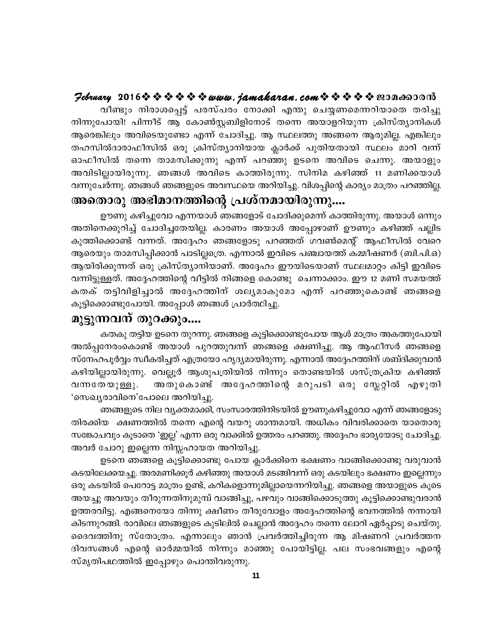#### $\mathcal{P}$ ebruary 2016 $\hat{\mathbf{v}} \triangleq \hat{\mathbf{v}} \triangleq \hat{\mathbf{v}} \triangleq \mathbf{v}$  and  $i$  amakaran.com  $\hat{\mathbf{v}} \triangleq \hat{\mathbf{v}} \triangleq \mathbf{v}$  and  $\mathbf{v}$

വീണ്ടും നിരാശപ്പെട്ട് പരസ്പരം നോക്കി എന്തു ചെയ്യണമെന്നറിയാതെ തരിച്ചു നിന്നുപോയി! പിന്നീട് ആ കോൺസ്റ്റബിളിനോട് തന്നെ അയാളറിയുന്ന ക്രിസ്ത്യാനികൾ ആരെങ്കിലും അവിടെയുണ്ടോ എന്ന് ചോദിച്ചു. ആ സ്ഥലത്തു അങ്ങനെ ആരുമില്ല. എങ്കിലും തഹസിൽദാരാഫീസിൽ ഒരു ക്രിസ്ത്യാനിയായ ക്ലാർക്ക് പുതിയതായി സ്ഥലം മാറി വന്ന് ഓഫീസിൽ തന്നെ താമസിക്കുന്നു എന്ന് പറഞ്ഞു ഉടനെ അവിടെ ചെന്നു. അയാളും അവിടില്ലായിരുന്നു. ഞങ്ങൾ അവിടെ കാത്തിരുന്നു. സിനിമ കഴിഞ്ഞ് 11 മണിക്കയാൾ വന്നുചേർന്നു. ഞങ്ങൾ ഞങ്ങളുടെ അവസ്ഥയെ അറിയിച്ചു. വിശപ്പിന്റെ കാര്യം മാത്രം പറഞ്ഞില്ല.

## അതൊരു അഭിമാനത്തിന്റെ പ്രശ്നമായിരുന്നു....

ഊണു കഴിച്ചുവോ എന്നയാൾ ഞങ്ങളോട് ചോദിക്കുമെന്ന് കാത്തിരുന്നു. അയാൾ ഒന്നും അതിനെക്കുറിച്ച് ചോദിച്ചതേയില്ല. കാരണം അയാൾ അപ്പോഴാണ് ഊണും കഴിഞ്ഞ് പല്ലിട കുത്തിക്കൊണ്ട് വന്നത്. അദ്ദേഹം ഞങ്ങളോടു പറഞ്ഞത് ഗവൺമെന്റ് ആഫീസിൽ വേറെ ആരെയും താമസിപ്പിക്കാൻ പാടില്ലത്രെ. എന്നാൽ ഇവിടെ പഞ്ചായത്ത് കമ്മീഷണർ (ബി.പി.ഒ) ആയിരിക്കുന്നത് ഒരു ക്രിസ്ത്യാനിയാണ്. അദ്ദേഹം ഈയിടെയാണ് സ്ഥലമാറ്റം കിട്ടി ഇവിടെ വന്നിട്ടുള്ളത്. അദ്ദേഹത്തിന്റെ വീട്ടിൽ നിങ്ങളെ കൊണ്ടു ചെന്നാക്കാം. ഈ 12 മണി സമയത്ത് കതക് തട്ടിവിളിച്ചാൽ അദ്ദേഹത്തിന് ശല്യമാകുമോ എന്ന് പറഞ്ഞുകൊണ്ട് ഞങ്ങളെ കൂട്ടിക്കൊണ്ടുപോയി. അപ്പോൾ ഞങ്ങൾ പ്രാർത്ഥിച്ചു.

### മുട്ടുന്നവന് തുറക്കും....

കതകു തട്ടിയ ഉടനെ തുറന്നു. ഞങ്ങളെ കൂട്ടിക്കൊണ്ടുപോയ ആൾ മാത്രം അകത്തുപോയി അൽപ്പനേരംകൊണ്ട് അയാൾ പുറത്തുവന്ന് ഞങ്ങളെ ക്ഷണിച്ചു. ആ ആഫീസർ ഞങ്ങളെ സ്നേഹപൂർവ്വം സ്ഥീകരിച്ചത് എത്രയോ ഹൃദ്യമായിരുന്നു. എന്നാൽ അദ്ദേഹത്തിന് ശബ്ദിക്കുവാൻ കഴിയില്ലായിരുന്നു. വെല്ലൂർ ആശുപത്രിയിൽ നിന്നും തൊണ്ടയിൽ ശസ്ത്രക്രിയ കഴിഞ്ഞ് അതുകൊണ്ട് അദ്ദേഹത്തിന്റെ മറുപടി ഒരു സ്ലേറ്റിൽ എഴുതി വന്നതേയുള്ളു. 'സെഖ്യരാവിനെ'പോലെ അറിയിച്ചു.

ഞങ്ങളുടെ നില വൃക്തമാക്കി, സംസാരത്തിനിടയിൽ ഊണുകഴിച്ചുവോ എന്ന് ഞങ്ങളോടു തിരക്കിയ ക്ഷണത്തിൽ തന്നെ എന്റെ വയറു ശാന്തമായി. അധികം വിവരിക്കാതെ യാതൊരു സങ്കോചവും കൂടാതെ 'ഇല്ല' എന്ന ഒരു വാക്കിൽ ഉത്തരം പറഞ്ഞു. അദ്ദേഹം ഭാര്യയോടു ചോദിച്ചു. അവർ ചോറു ഇല്ലെന്ന നിസ്സഹായത അറിയിച്ചു.

ഉടനെ ഞങ്ങളെ കൂട്ടിക്കൊണ്ടു പോയ ക്ലാർക്കിനെ ഭക്ഷണം വാങ്ങിക്കൊണ്ടു വരുവാൻ കടയിലേക്കയച്ചു. അരമണിക്കൂർ കഴിഞ്ഞു അയാൾ മടങ്ങിവന്ന് ഒരു കടയിലും ഭക്ഷണം ഇല്ലെന്നും ഒരു കടയിൽ പെറോട്ട മാത്രം ഉണ്ട്, കറികളൊന്നുമില്ലായെന്നറിയിച്ചു. ഞങ്ങളെ അയാളുടെ കൂടെ അയച്ചു അവയും തീരുന്നതിനുമുമ്പ് വാങ്ങിച്ചു, പഴവും വാങ്ങിക്കൊടുത്തു കൂട്ടിക്കൊണ്ടുവരാൻ ഉത്തരവിട്ടു. എങ്ങനെയോ തിന്നു ക്ഷീണം തീരുവോളം അദ്ദേഹത്തിന്റെ ഭവനത്തിൽ നന്നായി കിടന്നുറങ്ങി. രാവിലെ ഞങ്ങളുടെ കുടിലിൽ ചെല്ലാൻ അദ്ദേഹം തന്നെ ലോറി ഏർപ്പാടു ചെയ്തു. ദൈവത്തിനു സ്തോത്രം. എന്നാലും ഞാൻ പ്രവർത്തിച്ചിരുന്ന ആ മിഷണറി പ്രവർത്തന ദിവസങ്ങൾ എന്റെ ഓർമ്മയിൽ നിന്നും മാഞ്ഞു പോയിട്ടില്ല. പല സംഭവങ്ങളും എന്റെ സ്മൃതിപഥത്തിൽ ഇപ്പോഴും പൊന്തിവരുന്നു.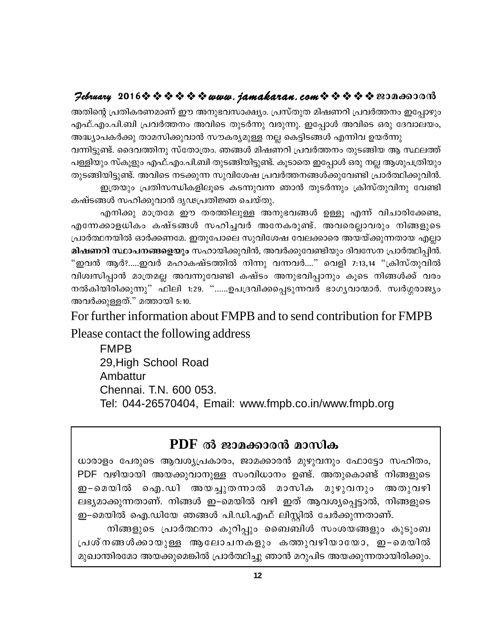#### $\mathcal{P}$ ebruary 2016 $\hat{\mathbf{v}} \triangleq \hat{\mathbf{v}} \triangleq \hat{\mathbf{v}} \triangleq \mathbf{v}$  and  $i$  and  $k$  are  $n$ , com  $\hat{\mathbf{v}} \triangleq \hat{\mathbf{v}} \triangleq \hat{\mathbf{v}}$  and  $\mathbf{v}$  and  $\mathbf{v}$

അതിന്റെ പ്രതികരണമാണ് ഈ അനുഭവസാക്ഷ്യം. പ്രസ്തുത മിഷണറി പ്രവർത്തനം ഇപ്പോഴും എഫ്.എം.പി.ബി പ്രവർത്തനം അവിടെ തുടർന്നു വരുന്നു. ഇപ്പോൾ അവിടെ ഒരു ദേവാലയം, അദ്ധ്യാപകർക്കു താമസിക്കുവാൻ സൗകര്യമുള്ള നല്ല കെട്ടിടങ്ങൾ എന്നിവ ഉയർന്നു

വന്നിട്ടുണ്ട്. ദൈവത്തിനു സ്തോത്രം. ഞങ്ങൾ മിഷണറി പ്രവർത്തനം തുടങ്ങിയ ആ സ്ഥലത്ത് പള്ളിയും സ്കൂളും എഫ്.എം.പി.ബി തുടങ്ങിയിട്ടുണ്ട്. കൂടാതെ ഇപ്പോൾ ഒരു നല്ല ആശുപത്രിയും തുടങ്ങിയിട്ടുണ്ട്. അവിടെ നടക്കുന്ന സുവിശേഷ പ്രവർത്തനങ്ങൾക്കുവേണ്ടി പ്രാർത്ഥിക്കുവിൻ. ഇത്രയും പ്രതിസന്ധികളിലൂടെ കടന്നുവന്ന ഞാൻ തുടർന്നും ക്രിസ്തുവിനു വേണ്ടി

കഷ്ടങ്ങൾ സഹിക്കുവാൻ ദൃഢപ്രതിജ്ഞ ചെയ്തു.

എനിക്കു മാത്രമേ ഈ തരത്തിലുള്ള അനുഭവങ്ങൾ ഉള്ളൂ എന്ന് വിചാരിക്കേണ്ട, എന്നേക്കാളധികം കഷ്ടങ്ങൾ സഹിച്ചവർ അനേകരുണ്ട്. അവരെല്ലാവരും നിങ്ങളുടെ പ്രാർത്ഥനയിൽ ഓർക്കണമേ. ഇതുപോലെ സുവിശേഷ വേലക്കാരെ അയയ്ക്കുന്നതായ എല്ലാ മിഷണറി സ്ഥാപനങ്ങളെയും സഹായിക്കുവിൻ, അവർക്കുവേണ്ടിയും ദിവസേന പ്രാർത്ഥിപ്പിൻ. "ഇവൻ ആർ?.....ഇവർ മഹാകഷ്ടത്തിൽ നിന്നു വന്നവർ...." വെളി 7:13,14 "ക്രിസ്തുവിൽ വിശ്വസിപ്പാൻ മാത്രമല്ല അവന്നുവേണ്ടി കഷ്ടം അനുഭവിപ്പാനും കൂടെ നിങ്ങൾക്ക് വരം നൽകിയിരിക്കുന്നു" ഫിലി 1:29. "……ഉപദ്രവിക്കപ്പെടുന്നവർ ഭാഗൃവാന്മാർ. സ്വർഗ്ഗരാജ്യം അവർക്കുള്ളത്." മത്തായി 5:10.

For further information about FMPB and to send contribution for FMPB

Please contact the following address

**FMPB** 29. High School Road Ambattur Chennai. T.N. 600 053. Tel: 044-26570404, Email: www.fmpb.co.in/www.fmpb.org

## PDF ൽ ജാമക്കാരൻ മാസിക

ധാരാളം പേരുടെ ആവശ്യപ്രകാരം, ജാമക്കാരൻ മുഴുവനും ഫോട്ടോ സഹിതം, PDF വഴിയായി അയക്കുവാനുള്ള സംവിധാനം ഉണ്ട്. അതുകൊണ്ട് നിങ്ങളുടെ ഇ-മെയിൽ ഐ.ഡി അയച്ചുതന്നാൽ മാസിക മുഴുവനും അതുവഴി ലഭ്യമാക്കുന്നതാണ്. നിങ്ങൾ ഇ–മെയിൽ വഴി ഇത് ആവശ്യപ്പെട്ടാൽ, നിങ്ങളുടെ ഇ–മെയിൽ ഐ.ഡിയേ ഞങ്ങൾ പി.ഡി.എഫ് ലിസ്റ്റിൽ ചേർക്കുന്നതാണ്.

നിങ്ങളുടെ പ്രാർത്ഥനാ കുറിപ്പും ബൈബിൾ സംശയങ്ങളും കുടുംബ പ്രശ്നങ്ങൾക്കായുള്ള ആലോചനകളും കത്തുവഴിയായോ, ഇ–മെയിൽ മുഖാന്തിരമോ അയക്കുമെങ്കിൽ പ്രാർത്ഥിച്ചു ഞാൻ മറുപിട അയക്കുന്നതായിരിക്കും.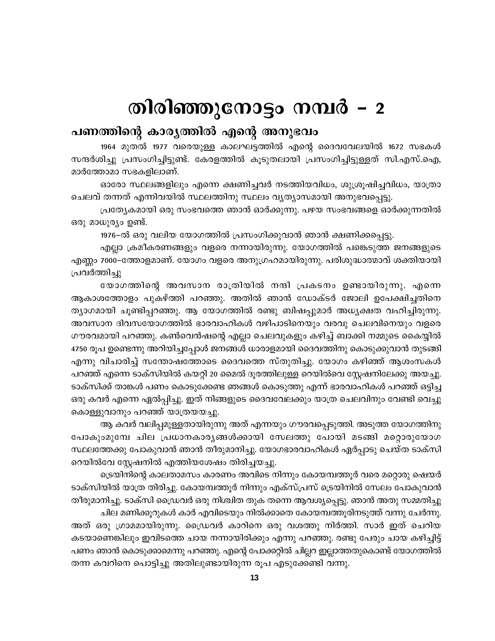# തിരിഞ്ഞുനോട്ടം നമ്പർ – 2

## പണത്തിന്റെ കാര്യത്തിൽ എന്റെ അനുഭവം

1964 മുതൽ 1977 വരെയുള്ള കാലഘട്ടത്തിൽ എന്റെ ദൈവവേലയിൽ 1672 സഭകൾ സന്ദർശിച്ചു പ്രസംഗിച്ചിട്ടുണ്ട്. കേരളത്തിൽ കൂടുതലായി പ്രസംഗിച്ചിട്ടുള്ളത് സി.എസ്.ഐ, മാർത്തോമാ സഭകളിലാണ്.

ഓരോ സ്ഥലങ്ങളിലും എന്നെ ക്ഷണിച്ചവർ നടത്തിയവിധം, ശുശ്രൂഷിച്ചവിധം, യാത്രാ ചെലവ് തന്നത് എന്നിവയിൽ സ്ഥലത്തിനു സ്ഥലം വ്യത്യാസമായി അനുഭവപ്പെട്ടു.

പ്രത്യേകമായി ഒരു സംഭവത്തെ ഞാൻ ഓർക്കുന്നു. പഴയ സംഭവങ്ങളെ ഓർക്കുന്നതിൽ ഒരു മാധുര്യം ഉണ്ട്.

1976–ൽ ഒരു വലിയ യോഗത്തിൽ പ്രസംഗിക്കുവാൻ ഞാൻ ക്ഷണിക്കപ്പെട്ടു.

എല്ലാ ക്രമീകരണങ്ങളും വളരെ നന്നായിരുന്നു. യോഗത്തിൽ പങ്കെടുത്ത ജനങ്ങളുടെ എണ്ണം 7000–ത്തോളമാണ്. യോഗം വളരെ അനുഗ്രഹമായിരുന്നു. പരിശുദ്ധാത്മാവ് ശക്തിയായി പ്രവർത്തിച്ചു

യോഗത്തിന്റെ അവസാന രാത്രിയിൽ നന്ദി പ്രകടനം ഉണ്ടായിരുന്നു. എന്നെ ആകാശത്തോളം പുകഴ്ത്തി പറഞ്ഞു. അതിൽ ഞാൻ ഡോക്ടർ ജോലി ഉപേക്ഷിച്ചതിനെ ത്യാഗമായി ചൂണ്ടിപ്പറഞ്ഞു. ആ യോഗത്തിൽ രണ്ടു ബിഷപ്പുമാർ അധ്യക്ഷത വഹിച്ചിരുന്നു. അവസാന ദിവസയോഗത്തിൽ ഭാരവാഹികൾ വഴിപാടിനെയും വരവു ചെലവിനെയും വളരെ ഗൗരവമായി പറഞ്ഞു. കൺവെൻഷന്റെ എല്ലാ ചെലവുകളും കഴിച്ച് ബാക്കി നമ്മുടെ കൈയ്യിൽ 4750 രൂപ ഉണ്ടെന്നു അറിയിച്ചപ്പോൾ ജനങ്ങൾ ധാരാളമായി ദൈവത്തിനു കൊടുക്കുവാൻ തുടങ്ങി എന്നു വിചാരിച്ച് സന്തോഷത്തോടെ ദൈവത്തെ സ്തുതിച്ചു. യോഗം കഴിഞ്ഞ് ആശംസകൾ പറഞ്ഞ് എന്നെ ടാക്സിയിൽ കയറ്റി 20 മൈൽ ദൂരത്തിലുള്ള റെയിൽവെ സ്റ്റേഷനിലേക്കു അയച്ചു. ടാക്സിക്ക് താങ്കൾ പണം കൊടുക്കേണ്ട ഞങ്ങൾ കൊടുത്തു എന്ന് ഭാരവാഹികൾ പറഞ്ഞ് ഒട്ടിച്ച ഒരു കവർ എന്നെ ഏൽപ്പിച്ചു. ഇത് നിങ്ങളുടെ ദൈവവേലക്കും യാത്ര ചെലവിനും വേണ്ടി വെച്ചു കൊള്ളുവാനും പറഞ്ഞ് യാത്രയയച്ചു.

ആ കവർ വലിപ്പമുള്ളതായിരുന്നു അത് എന്നയും ഗൗരവപ്പെടുത്തി. അടുത്ത യോഗത്തിനു പോകുംമുമ്പേ ചില പ്രധാനകാര്യങ്ങൾക്കായി സേലത്തു പോയി മടങ്ങി മറ്റൊരുയോഗ സ്ഥലത്തേക്കു പോകുവാൻ ഞാൻ തീരുമാനിച്ചു. യോഗഭാരവാഹികൾ ഏർപ്പാടു ചെയ്ത ടാക്സി റെയിൽവേ സ്റ്റേഷനിൽ എത്തിയശേഷം തിരിച്ചയച്ചു.

ട്രെയിനിന്റെ കാലതാമസം കാരണം അവിടെ നിന്നും കോയമ്പത്തൂർ വരെ മറ്റൊരു ഷെയർ ടാക്സിയിൽ യാത്ര തിരിച്ചു. കോയമ്പത്തൂർ നിന്നും എക്സ്പ്രസ് ട്രെയിനിൽ സേലം പോകുവാൻ തീരുമാനിച്ചു. ടാക്സി ഡ്രൈവർ ഒരു നിശ്ചിത തുക തന്നെ ആവശ്യപ്പെട്ടു. ഞാൻ അതു സമ്മതിച്ചു

ചില മണിക്കൂറുകൾ കാർ എവിടെയും നിൽക്കാതെ കോയമ്പത്തൂരിനടുത്ത് വന്നു ചേർന്നു. അത് ഒരു ഗ്രാമമായിരുന്നു. ഡ്രൈവർ കാറിനെ ഒരു വശത്തു നിർത്തി. സാർ ഇത് ചെറിയ കടയാണെങ്കിലും ഇവിടത്തെ ചായ നന്നായിരിക്കും എന്നു പറഞ്ഞു. രണ്ടു പേരും ചായ കഴിച്ചിട്ട് പണം ഞാൻ കൊടുക്കാമെന്നു പറഞ്ഞു. എന്റെ പോക്കറ്റിൽ ചില്ലറ ഇല്ലാത്തതുകൊണ്ട് യോഗത്തിൽ തന്ന കവറിനെ പൊട്ടിച്ചു അതിലുണ്ടായിരുന്ന രൂപ എടുക്കേണ്ടി വന്നു.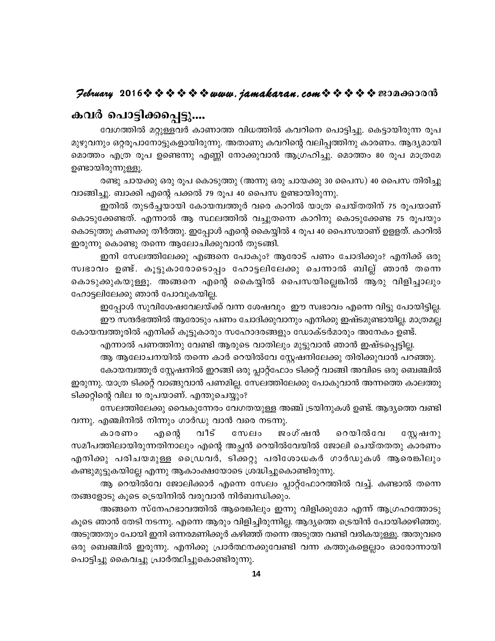## $\mathcal{P}$ ebruary 2016 $\hat{\mathbf{v}} \triangleq \hat{\mathbf{v}} \triangleq \hat{\mathbf{v}} \triangleq \mathbf{v}$  wurth, jamakaran, com  $\hat{\mathbf{v}} \triangleq \hat{\mathbf{v}} \triangleq \mathbf{v}$  en anovañ

# കവർ പൊട്ടിക്കപ്പെട്ടു....

വേഗത്തിൽ മറ്റുള്ളവർ കാണാത്ത വിധത്തിൽ കവറിനെ പൊട്ടിച്ചു. കെട്ടായിരുന്ന രൂപ മുഴുവനും ഒറ്റരൂപാനോട്ടുകളായിരുന്നു. അതാണു കവറിന്റെ വലിപ്പത്തിനു കാരണം. ആദ്യമായി മൊത്തം എത്ര രൂപ ഉണ്ടെന്നു എണ്ണി നോക്കുവാൻ ആഗ്രഹിച്ചു. മൊത്തം 80 രൂപ മാത്രമേ ഉണ്ടായിരുന്നുള്ളൂ.

രണ്ടു ചായക്കു ഒരു രൂപ കൊടുത്തു (അന്നു ഒരു ചായക്കു 30 പൈസ) 40 പൈസ തിരിച്ചു വാങ്ങിച്ചു. ബാക്കി എന്റെ പക്കൽ 79 രൂപ 40 പൈസ ഉണ്ടായിരുന്നു.

ഇതിൽ തുടർച്ചയായി കോയമ്പത്തൂർ വരെ കാറിൽ യാത്ര ചെയ്തതിന് 75 രൂപയാണ് കൊടുക്കേണ്ടത്. എന്നാൽ ആ സ്ഥലത്തിൽ വച്ചുതന്നെ കാറിനു കൊടുക്കേണ്ട 75 രൂപയും കൊടുത്തു കണക്കു തീർത്തു. ഇപ്പോൾ എന്റെ കൈയ്യിൽ 4 രൂപ 40 പൈസയാണ് ഉളളത്. കാറിൽ ഇരുന്നു കൊണ്ടു തന്നെ ആലോചിക്കുവാൻ തുടങ്ങി.

ഇനി സേലത്തിലേക്കു എങ്ങനെ പോകും? ആരോട് പണം ചോദിക്കും? എനിക്ക് ഒരു സ്വഭാവം ഉണ്ട്. കൂട്ടുകാരോടൊപ്പം ഹോട്ടലിലേക്കു ചെന്നാൽ ബില്ല് ഞാൻ തന്നെ കൊടുക്കുകയുള്ളൂ. അങ്ങനെ എന്റെ കൈയ്യിൽ പൈസയില്ലെങ്കിൽ ആരു വിളിച്ചാലും ഹോട്ടലിലേക്കു ഞാൻ പോവുകയില്ല.

ഇപ്പോൾ സുവിശേഷവേലയ്ക്ക് വന്ന ശേഷവും ഈ സ്വഭാവം എന്നെ വിട്ടു പോയിട്ടില്ല. ഈ സന്ദർഭത്തിൽ ആരോടും പണം ചോദിക്കുവാനും എനിക്കു ഇഷ്ടമുണ്ടായില്ല. മാത്രമല്ല

കോയമ്പത്തൂരിൽ എനിക്ക് കൂട്ടുകാരും സഹോദരങ്ങളും ഡോക്ടർമാരും അനേകം ഉണ്ട്.

എന്നാൽ പണത്തിനു വേണ്ടി ആരുടെ വാതിലും മുട്ടുവാൻ ഞാൻ ഇഷ്ടപ്പെട്ടില്ല.

ആ ആലോചനയിൽ തന്നെ കാർ റെയിൽവേ സ്റ്റേഷനിലേക്കു തിരിക്കുവാൻ പറഞ്ഞു. കോയമ്പത്തൂർ സ്റ്റേഷനിൽ ഇറങ്ങി ഒരു പ്ലാറ്റ്ഫോം ടിക്കറ്റ് വാങ്ങി അവിടെ ഒരു ബെഞ്ചിൽ ഇരുന്നു. യാത്ര ടിക്കറ്റ് വാങ്ങുവാൻ പണമില്ല. സേലത്തിലേക്കു പോകുവാൻ അന്നത്തെ കാലത്തു ടിക്കറ്റിന്റെ വില 10 രൂപയാണ്. എന്തുചെയ്യും?

സേലത്തിലേക്കു വൈകുന്നേരം വേഗതയുള്ള അഞ്ച് ട്രയിനുകൾ ഉണ്ട്. ആദ്യത്തെ വണ്ടി വന്നു. എഞ്ചിനിൽ നിന്നും ഗാർഡു വാൻ വരെ നടന്നു.

ജംഗ്ഷൻ എന്റെ വീട് റെയിൽവേ കാരണം സേലം സ്റ്റേഷനു സമീപത്തിലായിരുന്നതിനാലും എന്റെ അച്ഛൻ റെയിൽവേയിൽ ജോലി ചെയ്തതതു കാരണം എനിക്കു പരിചയമുള്ള ഡ്രൈവർ, ടിക്കറ്റു പരിശോധകർ ഗാർഡുകൾ ആരെങ്കിലും കണ്ടുമുട്ടുകയില്ലേ എന്നു ആകാംക്ഷയോടെ ശ്രദ്ധിച്ചുകൊണ്ടിരുന്നു.

ആ റെയിൽവേ ജോലിക്കാർ എന്നെ സേലം പ്ലാറ്റ്ഫോറത്തിൽ വച്ച്. കണ്ടാൽ തന്നെ തങ്ങളോടു കൂടെ ട്രെയിനിൽ വരുവാൻ നിർബന്ധിക്കും.

അങ്ങനെ സ്നേഹഭാവത്തിൽ ആരെങ്കിലും ഇന്നു വിളിക്കുമോ എന്ന് ആഗ്രഹത്തോടു കൂടെ ഞാൻ തേടി നടന്നു. എന്നെ ആരും വിളിച്ചിരുന്നില്ല. ആദ്യത്തെ ട്രെയിൻ പോയിക്കഴിഞ്ഞു. അടുത്തതും പോയി ഇനി ഒന്നരമണിക്കൂർ കഴിഞ്ഞ് തന്നെ അടുത്ത വണ്ടി വരികയുള്ളൂ. അതുവരെ ഒരു ബെഞ്ചിൽ ഇരുന്നു. എനിക്കു പ്രാർത്ഥനക്കുവേണ്ടി വന്ന കത്തുകളെല്ലാം ഓരോന്നായി പൊട്ടിച്ചു കൈവച്ചു പ്രാർത്ഥിച്ചുകൊണ്ടിരുന്നു.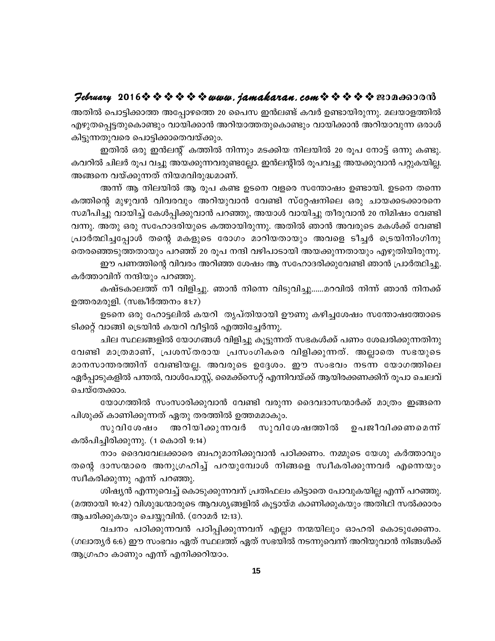# $\mathcal{P}$ ebruary 2016 $\hat{\mathbf{v}} \triangleq \hat{\mathbf{v}} \triangleq \hat{\mathbf{v}}$   $\hat{\mathbf{v}}$   $\hat{\mathbf{v}}$  we wave. jamakaran. com  $\hat{\mathbf{v}} \triangleq \hat{\mathbf{v}} \triangleq \hat{\mathbf{v}}$  nean and an

അതിൽ പൊട്ടിക്കാത്ത അപ്പോഴത്തെ 20 പൈസ ഇൻലണ്ട് കവർ ഉണ്ടായിരുന്നു. മലയാളത്തിൽ എഴുതപെട്ടതുകൊണ്ടും വായിക്കാൻ അറിയാത്തതുകൊണ്ടും വായിക്കാൻ അറിയാവുന്ന ഒരാൾ കിട്ടുന്നതുവരെ പൊട്ടിക്കാതെവയ്ക്കും.

ഇതിൽ ഒരു ഇൻലന്റ് കത്തിൽ നിന്നും മടക്കിയ നിലയിൽ 20 രൂപ നോട്ട് ഒന്നു കണ്ടു. കവറിൽ ചിലർ രൂപ വച്ചു അയക്കുന്നവരുണ്ടല്ലോ. ഇൻലന്റിൽ രൂപവച്ചു അയക്കുവാൻ പറ്റുകയില്ല. അങ്ങനെ വയ്ക്കുന്നത് നിയമവിരുദ്ധമാണ്.

അന്ന് ആ നിലയിൽ ആ രുപ കണ്ട ഉടനെ വളരെ സന്തോഷം ഉണ്ടായി. ഉടനെ തന്നെ കത്തിന്റെ മുഴുവൻ വിവരവും അറിയുവാൻ വേണ്ടി സ്റ്റേഷനിലെ ഒരു ചായക്കടക്കാരനെ സമീപിച്ചു വായിച്ച് കേൾപ്പിക്കുവാൻ പറഞ്ഞു, അയാൾ വായിച്ചു തീരുവാൻ 20 നിമിഷം വേണ്ടി വന്നു. അതു ഒരു സഹോദരിയുടെ കത്തായിരുന്നു. അതിൽ ഞാൻ അവരുടെ മകൾക്ക് വേണ്ടി പ്രാർത്ഥിച്ചപ്പോൾ തന്റെ മകളുടെ രോഗം മാറിയതായും അവളെ ടീച്ചർ ട്രെയിനിംഗിനു തെരഞ്ഞെടുത്തതായും പറഞ്ഞ് 20 രൂപ നന്ദി വഴിപാടായി അയക്കുന്നതായും എഴുതിയിരുന്നു.

ഈ പണത്തിന്റെ വിവരം അറിഞ്ഞ ശേഷം ആ സഹോദരിക്കുവേണ്ടി ഞാൻ പ്രാർത്ഥിച്ചു. കർത്താവിന് നന്ദിയും പറഞ്ഞു.

കഷ്ടകാലത്ത് നീ വിളിച്ചു. ഞാൻ നിന്നെ വിടുവിച്ചു......മറവിൽ നിന്ന് ഞാൻ നിനക്ക് ഉത്തരമരുളി. (സങ്കീർത്തനം 81:7)

ഉടനെ ഒരു ഹോട്ടലിൽ കയറി തൃപ്തിയായി ഊണു കഴിച്ചശേഷം സന്തോഷത്തോടെ ടിക്കറ്റ് വാങ്ങി ട്രെയിൻ കയറി വീട്ടിൽ എത്തിച്ചേർന്നു.

ചില സ്ഥലങ്ങളിൽ യോഗങ്ങൾ വിളിച്ചു കൂട്ടുന്നത് സഭകൾക്ക് പണം ശേഖരിക്കുന്നതിനു വേണ്ടി മാത്രമാണ്, പ്രശസ്തരായ പ്രസംഗികരെ വിളിക്കുന്നത്. അല്ലാതെ സഭയുടെ മാനസാന്തരത്തിന് വേണ്ടിയല്ല. അവരുടെ ഉദ്ദേശം. ഈ സംഭവം നടന്ന യോഗത്തിലെ ഏർപ്പാടുകളിൽ പന്തൽ, വാൾപോസ്റ്റ്, മൈക്സൈറ്റ് എന്നിവയ്ക്ക് ആയിരക്കണക്കിന് രൂപാ ചെലവ് ചെയ്തേക്കാം.

യോഗത്തിൽ സംസാരിക്കുവാൻ വേണ്ടി വരുന്ന ദൈവദാസന്മാർക്ക് മാത്രം ഇങ്ങനെ പിശുക്ക് കാണിക്കുന്നത് ഏതു തരത്തിൽ ഉത്തമമാകും.

സുവിശേഷം അറിയിക്കുന്നവർ സുവിശേഷത്തിൽ ഉപജീവിക്കണമെന്ന് കൽപിച്ചിരിക്കുന്നു. (1 കൊരി 9:14)

നാം ദൈവവേലക്കാരെ ബഹുമാനിക്കുവാൻ പഠിക്കണം. നമ്മുടെ യേശു കർത്താവും തന്റെ ദാസന്മാരെ അനുഗ്രഹിച്ച് പറയുമ്പോൾ നിങ്ങളെ സ്വീകരിക്കുന്നവർ എന്നെയും സ്വീകരിക്കുന്നു എന്ന് പറഞ്ഞു.

ശിഷ്യൻ എന്നുവെച്ച് കൊടുക്കുന്നവന് പ്രതിഫലം കിട്ടാതെ പോവുകയില്ല എന്ന് പറഞ്ഞു. (മത്തായി 10:42) വിശുദ്ധന്മാരുടെ ആവശ്യങ്ങളിൽ കൂട്ടായ്മ കാണിക്കുകയും അതിഥി സൽക്കാരം ആചരിക്കുകയും ചെയ്യുവിൻ. (റോമർ 12:13).

വചനം പഠിക്കുന്നവൻ പഠിപ്പിക്കുന്നവന് എല്ലാ നന്മയിലും ഓഹരി കൊടുക്കേണം. (ഗലാതൃർ 6:6) ഈ സംഭവം ഏത് സ്ഥലത്ത് ഏത് സഭയിൽ നടന്നുവെന്ന് അറിയുവാൻ നിങ്ങൾക്ക് ആഗ്രഹം കാണും എന്ന് എനിക്കറിയാം.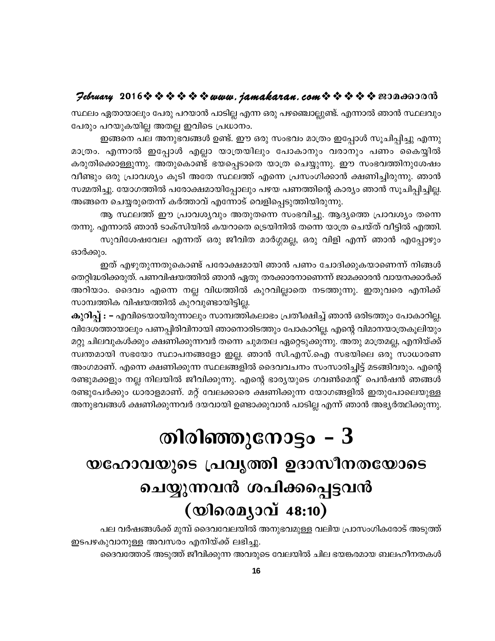# $\mathcal{P}$ ebruary 2016 $\rightsquigarrow \rightsquigarrow \rightsquigarrow \rightsquigarrow \rightsquigarrow u$ uww.jamakaran.com $\rightsquigarrow \rightsquigarrow \rightsquigarrow \rightsquigarrow \rightsquigarrow \text{reson}$

സ്ഥലം ഏതായാലും പേരു പറയാൻ പാടില്ല എന്ന ഒരു പഴഞ്ചൊല്ലുണ്ട്. എന്നാൽ ഞാൻ സ്ഥലവും പേരും പറയുകയില്ല അതല്ല ഇവിടെ പ്രധാനം.

ഇങ്ങനെ പല അനുഭവങ്ങൾ ഉണ്ട്. ഈ ഒരു സംഭവം മാത്രം ഇപ്പോൾ സൂചിപ്പിച്ചു എന്നു മാത്രം. എന്നാൽ ഇപ്പോൾ എല്ലാ യാത്രയിലും പോകാനും വരാനും പണം കൈയ്യിൽ കരുതിക്കൊള്ളുന്നു. അതുകൊണ്ട് ഭയപ്പെടാതെ യാത്ര ചെയ്യുന്നു. ഈ സംഭവത്തിനുശേഷം വീണ്ടും ഒരു പ്രാവശ്യം കൂടി അതേ സ്ഥലത്ത് എന്നെ പ്രസംഗിക്കാൻ ക്ഷണിച്ചിരുന്നു. ഞാൻ സമ്മതിച്ചു. യോഗത്തിൽ പരോക്ഷമായിപ്പോലും പഴയ പണത്തിന്റെ കാര്യം ഞാൻ സൂചിപ്പിച്ചില്ല. അങ്ങനെ ചെയ്യരുതെന്ന് കർത്താവ് എന്നോട് വെളിപ്പെടുത്തിയിരുന്നു.

ആ സ്ഥലത്ത് ഈ പ്രാവശ്യവും അതുതന്നെ സംഭവിച്ചു. ആദ്യത്തെ പ്രാവശ്യം തന്നെ തന്നു. എന്നാൽ ഞാൻ ടാക്സിയിൽ കയറാതെ ട്രെയിനിൽ തന്നെ യാത്ര ചെയ്ത് വീട്ടിൽ എത്തി. സുവിശേഷവേല എന്നത് ഒരു ജീവിത മാർഗ്ഗമല്ല, ഒരു വിളി എന്ന് ഞാൻ എപ്പോഴും

ഓർക്കും.

ഇത് എഴുതുന്നതുകൊണ്ട് പരോക്ഷമായി ഞാൻ പണം ചോദിക്കുകയാണെന്ന് നിങ്ങൾ തെറ്റിദ്ധരിക്കരുത്. പണവിഷയത്തിൽ ഞാൻ ഏതു തരക്കാരനാണെന്ന് ജാമക്കാരൻ വായനക്കാർക്ക് അറിയാം. ദൈവം എന്നെ നല്ല വിധത്തിൽ കുറവില്ലാതെ നടത്തുന്നു. ഇതുവരെ എനിക്ക് സാമ്പത്തിക വിഷയത്തിൽ കുറവുണ്ടായിട്ടില്ല.

കുറിപ്പ് : – എവിടെയായിരുന്നാലും സാമ്പത്തികലാഭം പ്രതീക്ഷിച്ച് ഞാൻ ഒരിടത്തും പോകാറില്ല. വിദേശത്തായാലും പണപ്പിരിവിനായി ഞാനൊരിടത്തും പോകാറില്ല. എന്റെ വിമാനയാത്രകൂലിയും മറ്റു ചിലവുകൾക്കും ക്ഷണിക്കുന്നവർ തന്നെ ചുമതല ഏറ്റെടുക്കുന്നു. അതു മാത്രമല്ല, എനിയ്ക്ക് സ്വന്തമായി സഭയോ സ്ഥാപനങ്ങളോ ഇല്ല. ഞാൻ സി.എസ്.ഐ സഭയിലെ ഒരു സാധാരണ അംഗമാണ്. എന്നെ ക്ഷണിക്കുന്ന സ്ഥലങ്ങളിൽ ദൈവവചനം സംസാരിച്ചിട്ട് മടങ്ങിവരും. എന്റെ രണ്ടുമക്കളും നല്ല നിലയിൽ ജീവിക്കുന്നു. എന്റെ ഭാര്യയുടെ ഗവൺമെന്റ് പെൻഷൻ ഞങ്ങൾ രണ്ടുപേർക്കും ധാരാളമാണ്. മറ്റ് വേലക്കാരെ ക്ഷണിക്കുന്ന യോഗങ്ങളിൽ ഇതുപോലെയുള്ള അനുഭവങ്ങൾ ക്ഷണിക്കുന്നവർ ദയവായി ഉണ്ടാക്കുവാൻ പാടില്ല എന്ന് ഞാൻ അഭ്യർത്ഥിക്കുന്നു.

# തിരിഞ്ഞുനോട്ടം –  $3$ യഹോവയുടെ പ്രവൃത്തി ഉദാസീനതയോടെ ചെയ്യുന്നവൻ ശപിക്കപ്പെട്ടവൻ  $($ യിരെമ്യാവ് 48:10)

പല വർഷങ്ങൾക്ക് മുമ്പ് ദൈവവേലയിൽ അനുഭവമുള്ള വലിയ പ്രാസംഗികരോട് അടുത്ത് ഇടപഴകുവാനുള്ള അവസരം എനിയ്ക്ക് ലഭിച്ചു. ദൈവത്തോട് അടുത്ത് ജീവിക്കുന്ന അവരുടെ വേലയിൽ ചില ഭയങ്കരമായ ബലഹീനതകൾ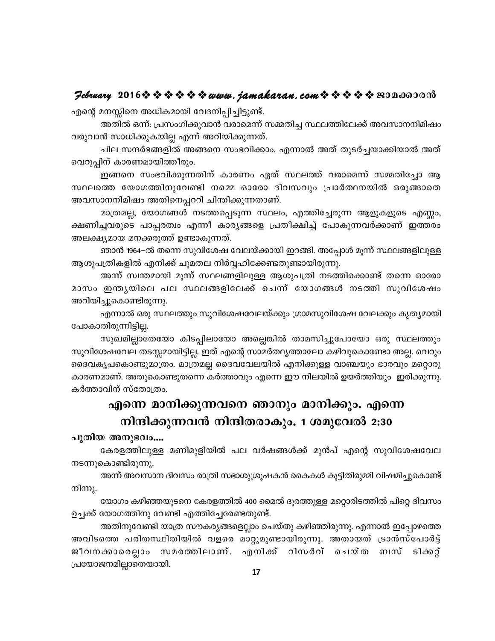#### $\mathcal{P}$ ebruary 2016 $\hat{\mathbf{v}} \triangleq \hat{\mathbf{v}} \triangleq \hat{\mathbf{v}} \triangleq \mathbf{v}$  and  $i$  amakaran.com  $\hat{\mathbf{v}} \triangleq \hat{\mathbf{v}} \triangleq \mathbf{v}$  and  $\mathbf{v}$

എന്റെ മനസ്സിനെ അധികമായി വേദനിപ്പിച്ചിട്ടുണ്ട്.

അതിൽ ഒന്ന്: പ്രസംഗിക്കുവാൻ വരാമെന്ന് സമ്മതിച്ച സ്ഥലത്തിലേക്ക് അവസാനനിമിഷം വരുവാൻ സാധിക്കുകയില്ല എന്ന് അറിയിക്കുന്നത്.

ചില സന്ദർഭങ്ങളിൽ അങ്ങനെ സംഭവിക്കാം. എന്നാൽ അത് തുടർച്ചയാക്കിയാൽ അത് വെറുപ്പിന് കാരണമായിത്തീരും.

ഇങ്ങനെ സംഭവിക്കുന്നതിന് കാരണം ഏത് സ്ഥലത്ത് വരാമെന്ന് സമ്മതിച്ചോ ആ സ്ഥലത്തെ യോഗത്തിനുവേണ്ടി നമ്മെ ഓരോ ദിവസവും പ്രാർത്ഥനയിൽ ഒരുങ്ങാതെ അവസാനനിമിഷം അതിനെപ്പററി ചിന്തിക്കുന്നതാണ്.

മാത്രമല്ല, യോഗങ്ങൾ നടത്തപ്പെടുന്ന സ്ഥലം, എത്തിച്ചേരുന്ന ആളുകളുടെ എണ്ണം, ക്ഷണിച്ചവരുടെ പാപ്പരത്വം എന്നീ കാര്യങ്ങളെ പ്രതീക്ഷിച്ച് പോകുന്നവർക്കാണ് ഇത്തരം അലക്ഷ്യമായ മനക്കരുത്ത് ഉണ്ടാകുന്നത്.

ഞാൻ 1964–ൽ തന്നെ സുവിശേഷ വേലയ്ക്കായി ഇറങ്ങി. അപ്പോൾ മൂന്ന് സ്ഥലങ്ങളിലുള്ള ആശുപത്രികളിൽ എനിക്ക് ചുമതല നിർവ്വഹിക്കേണ്ടതുണ്ടായിരുന്നു.

അന്ന് സ്വന്തമായി മൂന്ന് സ്ഥലങ്ങളിലുള്ള ആശുപത്രി നടത്തിക്കൊണ്ട് തന്നെ ഓരോ മാസം ഇന്തൃയിലെ പല സ്ഥലങ്ങളിലേക്ക് ചെന്ന് യോഗങ്ങൾ നടത്തി സുവിശേഷം അറിയിച്ചുകൊണ്ടിരുന്നു.

എന്നാൽ ഒരു സ്ഥലത്തും സുവിശേഷവേലയ്ക്കും ഗ്രാമസുവിശേഷ വേലക്കും കൃതൃമായി പോകാതിരുന്നിട്ടില്ല.

സുഖമില്ലാതേയോ കിടപ്പിലായോ അല്ലെങ്കിൽ താമസിച്ചുപോയോ ഒരു സ്ഥലത്തും സുവിശേഷവേല തടസ്സമായിട്ടില്ല. ഇത് എന്റെ സാമർത്ഥ്യത്താലോ കഴിവുകൊണ്ടോ അല്ല. വെറും ദൈവകൃപകൊണ്ടുമാത്രം. മാത്രമല്ല ദൈവവേലയിൽ എനിക്കുള്ള വാഞ്ചയും ഭാരവും മറ്റൊരു കാരണമാണ്. അതുകൊണ്ടുതന്നെ കർത്താവും എന്നെ ഈ നിലയിൽ ഉയർത്തിയും ഇരിക്കുന്നു. കർത്താവിന് സ്തോത്രം.

# എന്നെ മാനിക്കുന്നവനെ ഞാനും മാനിക്കും. എന്നെ നിന്ദിക്കുന്നവൻ നിന്ദിതരാകും. 1 ശമുവേൽ 2:30

പുതിയ അനുഭവം....

കേരളത്തിലുള്ള മണിമുളിയിൽ പല വർഷങ്ങൾക്ക് മുൻപ് എന്റെ സുവിശേഷവേല നടന്നുകൊണ്ടിരുന്നു.

അന്ന് അവസാന ദിവസം രാത്രി സഭാശുശ്രൂഷകൻ കൈകൾ കൂട്ടിതിരുമ്മി വിഷമിച്ചുകൊണ്ട് നിന്നു.

യോഗം കഴിഞ്ഞയുടനെ കേരളത്തിൽ 400 മൈൽ ദൂരത്തുള്ള മറ്റൊരിടത്തിൽ പിറ്റെ ദിവസം ഉച്ചക്ക് യോഗത്തിനു വേണ്ടി എത്തിച്ചേരേണ്ടതുണ്ട്.

അതിനുവേണ്ടി യാത്ര സൗകര്യങ്ങളെല്ലാം ചെയ്തു കഴിഞ്ഞിരുന്നു. എന്നാൽ ഇപ്പോഴത്തെ അവിടത്തെ പരിതസ്ഥിതിയിൽ വളരെ മാറ്റുമുണ്ടായിരുന്നു. അതായത് ട്രാൻസ്പോർട്ട് ജീവനക്കാരെല്ലാം സമരത്തിലാണ്. എനിക്ക് റിസർവ് ചെയ്ത ബസ് ടിക്കറ്റ് പ്രയോജനമില്ലാതെയായി.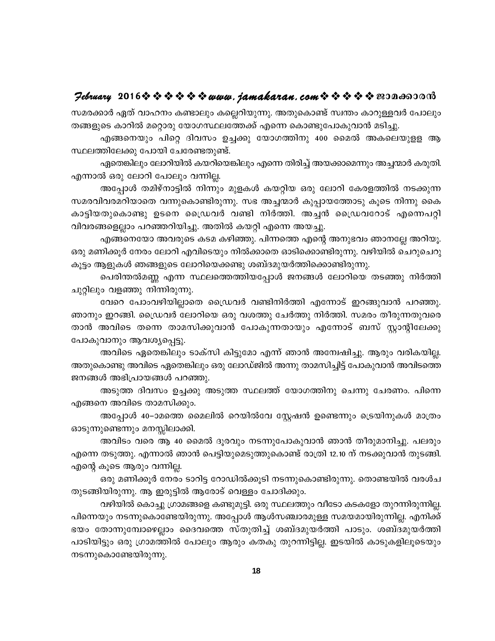#### $\mathcal{P}$ ebruary 2016 $\hat{\mathbf{v}} \triangleq \hat{\mathbf{v}} \triangleq \hat{\mathbf{v}} \triangleq \mathbf{v}$  and  $i$  and  $k$  are  $n$ , com  $\hat{\mathbf{v}} \triangleq \hat{\mathbf{v}} \triangleq \hat{\mathbf{v}}$  and  $\mathbf{v}$  and  $\mathbf{v}$

സമരക്കാർ ഏത് വാഹനം കണ്ടാലും കല്ലെറിയുന്നു. അതുകൊണ്ട് സ്വന്തം കാറുള്ളവർ പോലും തങ്ങളുടെ കാറിൽ മറ്റൊരു യോഗസ്ഥലത്തേക്ക് എന്നെ കൊണ്ടുപോകുവാൻ മടിച്ചു.

എങ്ങനെയും പിറ്റെ ദിവസം ഉച്ചക്കു യോഗത്തിനു 400 മൈൽ അകലെയുളള ആ സ്ഥലത്തിലേക്കു പോയി ചേരേണ്ടതുണ്ട്.

ഏതെങ്കിലും ലോറിയിൽ കയറിയെങ്കിലും എന്നെ തിരിച്ച് അയക്കാമെന്നും അച്ചന്മാർ കരുതി. എന്നാൽ ഒരു ലോറി പോലും വന്നില്ല.

അപ്പോൾ തമിഴ്നാട്ടിൽ നിന്നും മുളകൾ കയറ്റിയ ഒരു ലോറി കേരളത്തിൽ നടക്കുന്ന സമരവിവരമറിയാതെ വന്നുകൊണ്ടിരുന്നു. സഭ അച്ചന്മാർ കുപ്പായത്തോടു കൂടെ നിന്നു കൈ കാട്ടിയതുകൊണ്ടു ഉടനെ ഡ്രൈവർ വണ്ടി നിർത്തി. അച്ചൻ ഡ്രൈവറോട് എന്നെപറ്റി വിവരങ്ങളെല്ലാം പറഞ്ഞറിയിച്ചു. അതിൽ കയറ്റി എന്നെ അയച്ചു.

എങ്ങനെയോ അവരുടെ കടമ കഴിഞ്ഞു. പിന്നത്തെ എന്റെ അനുഭവം ഞാനല്ലേ അറിയൂ. ഒരു മണിക്കൂർ നേരം ലോറി എവിടെയും നിൽക്കാതെ ഓടിക്കൊണ്ടിരുന്നു. വഴിയിൽ ചെറുചെറു കൂട്ടം ആളുകൾ ഞങ്ങളുടെ ലോറിയെക്കണ്ടു ശബ്ദമുയർത്തിക്കൊണ്ടിരുന്നു.

പെരിന്തൽമണ്ണ എന്ന സ്ഥലത്തെത്തിയപ്പോൾ ജനങ്ങൾ ലോറിയെ തടഞ്ഞു നിർത്തി ചുറ്റിലും വളഞ്ഞു നിന്നിരുന്നു.

വേറെ പോംവഴിയില്ലാതെ ഡ്രൈവർ വണ്ടിനിർത്തി എന്നോട് ഇറങ്ങുവാൻ പറഞ്ഞു. ഞാനും ഇറങ്ങി. ഡ്രൈവർ ലോറിയെ ഒരു വശത്തു ചേർത്തു നിർത്തി. സമരം തീരുന്നതുവരെ താൻ അവിടെ തന്നെ താമസിക്കുവാൻ പോകുന്നതായും എന്നോട് ബസ് സ്റ്റാന്റിലേക്കു പോകുവാനും ആവശ്യപ്പെട്ടു.

അവിടെ ഏതെങ്കിലും ടാക്സി കിട്ടുമോ എന്ന് ഞാൻ അന്വേഷിച്ചു. ആരും വരികയില്ല. അതുകൊണ്ടു അവിടെ ഏതെങ്കിലും ഒരു ലോഡ്ജിൽ അന്നു താമസിച്ചിട്ട് പോകുവാൻ അവിടത്തെ ജനങ്ങൾ അഭിപ്രായങ്ങൾ പറഞ്ഞു.

അടുത്ത ദിവസം ഉച്ചക്കു അടുത്ത സ്ഥലത്ത് യോഗത്തിനു ചെന്നു ചേരണം. പിന്നെ എങ്ങനെ അവിടെ താമസിക്കും.

അപ്പോൾ 40–ാമത്തെ മൈലിൽ റെയിൽവേ സ്റ്റേഷൻ ഉണ്ടെന്നും ട്രെയിനുകൾ മാത്രം ഓടുന്നുണ്ടെന്നും മനസ്സിലാക്കി.

അവിടം വരെ ആ 40 മൈൽ ദൂരവും നടന്നുപോകുവാൻ ഞാൻ തീരുമാനിച്ചു. പലരും എന്നെ തടുത്തു. എന്നാൽ ഞാൻ പെട്ടിയുമെടുത്തുകൊണ്ട് രാത്രി 12.10 ന് നടക്കുവാൻ തുടങ്ങി. എന്റെ കൂടെ ആരും വന്നില്ല.

ഒരു മണിക്കൂർ നേരം ടാറിട്ട റോഡിൽക്കൂടി നടന്നുകൊണ്ടിരുന്നു. തൊണ്ടയിൽ വരൾച തുടങ്ങിയിരുന്നു. ആ ഇരുട്ടിൽ ആരോട് വെള്ളം ചോദിക്കും.

വഴിയിൽ കൊച്ചു ഗ്രാമങ്ങളെ കണ്ടുമുട്ടി. ഒരു സ്ഥലത്തും വീടോ കടകളോ തുറന്നിരുന്നില്ല. പിന്നെയും നടന്നുകൊണ്ടേയിരുന്നു. അപ്പോൾ ആൾസഞ്ചാരമുള്ള സമയമായിരുന്നില്ല. എനിക്ക് ഭയം തോന്നുമ്പോഴെല്ലാം ദൈവത്തെ സ്തുതിച്ച് ശബ്ദമുയർത്തി പാടും. ശബ്ദമുയർത്തി പാടിയിട്ടും ഒരു ഗ്രാമത്തിൽ പോലും ആരും കതകു തുറന്നിട്ടില്ല. ഇടയിൽ കാടുകളിലൂടെയും നടന്നുകൊണ്ടേയിരുന്നു.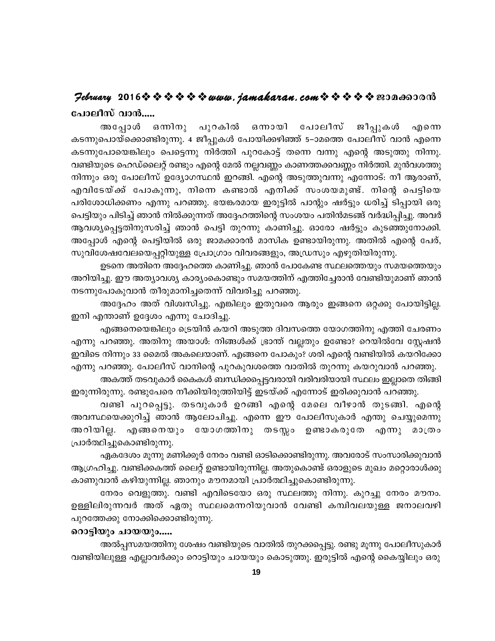# Jebruary 2016 \* \* \* \* \* \* www.jamakaran.com \* \* \* \* \* \* 20000000 പോലീസ് വാൻ.....

അപ്പോൾ ഒന്നിനു പുറകിൽ ഒനായി പോലീസ് ജീപ്പുകൾ എനെ കടന്നുപൊയ്ക്കൊണ്ടിരുന്നു. 4 ജീപ്പുകൾ പോയിക്കഴിഞ്ഞ് 5–ാമത്തെ പോലീസ് വാൻ എന്നെ കടന്നുപോയെങ്കിലും പെട്ടെന്നു നിർത്തി പുറകോട്ട് തന്നെ വന്നു എന്റെ അടുത്തു നിന്നു. വണ്ടിയുടെ ഹെഡ്ലൈറ്റ് രണ്ടും എന്റെ മേൽ നല്ലവണ്ണം കാണത്തക്കവണ്ണം നിർത്തി. മുൻവശത്തു നിന്നും ഒരു പോലീസ് ഉദ്യോഗസ്ഥൻ ഇറങ്ങി. എന്റെ അടുത്തുവന്നു എന്നോട്: നീ ആരാണ്, എവിടേയ്ക്ക് പോകുന്നു, നിന്നെ കണ്ടാൽ എനിക്ക് സംശയമുണ്ട്. നിന്റെ പെട്ടിയെ പരിശോധിക്കണം എന്നു പറഞ്ഞു. ഭയങ്കരമായ ഇരുട്ടിൽ പാന്റും ഷർട്ടും ധരിച്ച് ടിപ്പായി ഒരു പെട്ടിയും പിടിച്ച് ഞാൻ നിൽക്കുന്നത് അദ്ദേഹത്തിന്റെ സംശയം പതിൻമടങ്ങ് വർദ്ധിപ്പിച്ചു. അവർ ആവശ്യപ്പെട്ടതിനുസരിച്ച് ഞാൻ പെട്ടി തുറന്നു കാണിച്ചു. ഓരോ ഷർട്ടും കുടഞ്ഞുനോക്കി. അപ്പോൾ എന്റെ പെട്ടിയിൽ ഒരു ജാമക്കാരൻ മാസിക ഉണ്ടായിരുന്നു. അതിൽ എന്റെ പേര്, സുവിശേഷവേലയെപ്പറ്റിയുള്ള പ്രോഗ്രാം വിവരങ്ങളും, അഡ്രസും എഴുതിയിരുന്നു.

ഉടനെ അതിനെ അദ്ദേഹത്തെ കാണിച്ചു. ഞാൻ പോകേണ്ട സ്ഥലത്തെയും സമയത്തെയും അറിയിച്ചു. ഈ അത്യാവശ്യ കാര്യംകൊണ്ടും സമയത്തിന് എത്തിച്ചേരാൻ വേണ്ടിയുമാണ് ഞാൻ നടന്നുപോകുവാൻ തീരുമാനിച്ചതെന്ന് വിവരിച്ചു പറഞ്ഞു.

അദ്ദേഹം അത് വിശ്വസിച്ചു. എങ്കിലും ഇതുവരെ ആരും ഇങ്ങനെ ഒറ്റക്കു പോയിട്ടില്ല. ഇനി എന്താണ് ഉദ്ദേശം എന്നു ചോദിച്ചു.

എങ്ങനെയെങ്കിലും ട്രെയിൻ കയറി അടുത്ത ദിവസത്തെ യോഗത്തിനു എത്തി ചേരണം എന്നു പറഞ്ഞു. അതിനു അയാൾ: നിങ്ങൾക്ക് ഭ്രാന്ത് വല്ലതും ഉണ്ടോ? റെയിൽവേ സ്റ്റേഷൻ ഇവിടെ നിന്നും 33 മൈൽ അകലെയാണ്. എങ്ങനെ പോകും? ശരി എന്റെ വണ്ടിയിൽ കയറിക്കോ എന്നു പറഞ്ഞു. പോലീസ് വാനിന്റെ പുറകുവശത്തെ വാതിൽ തുറന്നു കയറുവാൻ പറഞ്ഞു.

അകത്ത് തടവുകാർ കൈകൾ ബന്ധിക്കപ്പെട്ടവരായി വരിവരിയായി സ്ഥലം ഇല്ലാതെ തിങ്ങി ഇരുന്നിരുന്നു. രണ്ടുപേരെ നീക്കിയിരുത്തിയിട്ട് ഇടയ്ക്ക് എന്നോട് ഇരിക്കുവാൻ പറഞ്ഞു.

വണ്ടി പുറപ്പെട്ടു. തടവുകാർ ഉറങ്ങി എന്റെ മേലെ വീഴാൻ തുടങ്ങി. എന്റെ അവസ്ഥയെക്കുറിച്ച് ഞാൻ ആലോചിച്ചു. എന്നെ ഈ പോലീസുകാർ എന്തു ചെയ്യുമെന്നു അറിയില്ല. എങ്ങനെയും യോഗത്തിനു തടസ്സം ഉണ്ടാകരുതേ എന്നു മാത്രം പ്രാർത്ഥിച്ചുകൊണ്ടിരുന്നു.

ഏകദേശം മൂന്നു മണിക്കൂർ നേരം വണ്ടി ഓടിക്കൊണ്ടിരുന്നു. അവരോട് സംസാരിക്കുവാൻ ആഗ്രഹിച്ചു. വണ്ടിക്കകത്ത് ലൈറ്റ് ഉണ്ടായിരുന്നില്ല. അതുകൊണ്ട് ഒരാളുടെ മുഖം മറ്റൊരാൾക്കു കാണുവാൻ കഴിയുന്നില്ല. ഞാനും മൗനമായി പ്രാർത്ഥിച്ചുകൊണ്ടിരുന്നു.

നേരം വെളുത്തു. വണ്ടി എവിടെയോ ഒരു സ്ഥലത്തു നിന്നു. കുറച്ചു നേരം മൗനം. ഉള്ളിലിരുന്നവർ അത് ഏതു സ്ഥലമെന്നറിയുവാൻ വേണ്ടി കമ്പിവലയുള്ള ജനാലവഴി പുറത്തേക്കു നോക്കിക്കൊണ്ടിരുന്നു.

#### റൊട്ടിയും ചായയും.....

അൽപ്പസമയത്തിനു ശേഷം വണ്ടിയുടെ വാതിൽ തുറക്കപ്പെട്ടു. രണ്ടു മൂന്നു പോലീസുകാർ വണ്ടിയിലുള്ള എല്ലാവർക്കും റൊട്ടിയും ചായയും കൊടുത്തു. ഇരുട്ടിൽ എന്റെ കൈയ്യിലും ഒരു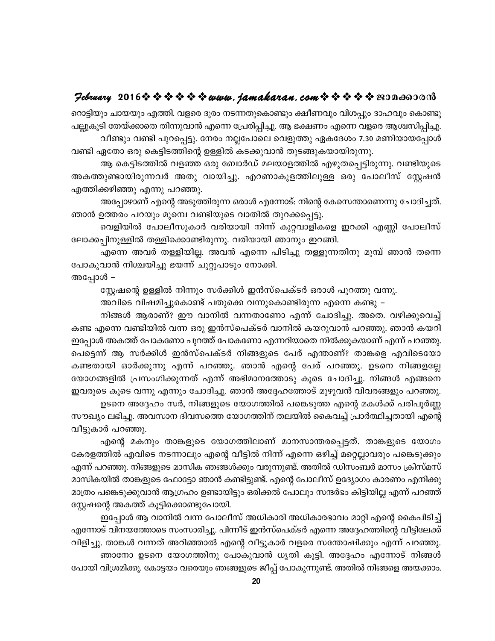# $\mathcal{P}$ ebruary 2016 $\rightsquigarrow \rightsquigarrow \rightsquigarrow \rightsquigarrow \rightsquigarrow u$ uww.jamakaran.com $\rightsquigarrow \rightsquigarrow \rightsquigarrow \rightsquigarrow \rightsquigarrow \text{ex}$

റൊട്ടിയും ചായയും എത്തി. വളരെ ദൂരം നടന്നതുകൊണ്ടും ക്ഷീണവും വിശപ്പും ദാഹവും കൊണ്ടു പല്ലുകൂടി തേയ്ക്കാതെ തിന്നുവാൻ എന്നെ പ്രേരിപ്പിച്ചു. ആ ഭക്ഷണം എന്നെ വളരെ ആശ്വസിപ്പിച്ചു. വീണ്ടും വണ്ടി പുറപ്പെട്ടു. നേരം നല്ലപോലെ വെളുത്തു ഏകദേശം 7.30 മണിയായപ്പോൾ വണ്ടി ഏതോ ഒരു കെട്ടിടത്തിന്റെ ഉള്ളിൽ കടക്കുവാൻ തുടങ്ങുകയായിരുന്നു.

ആ കെട്ടിടത്തിൽ വളഞ്ഞ ഒരു ബോർഡ് മലയാളത്തിൽ എഴുതപ്പെട്ടിരുന്നു. വണ്ടിയുടെ അകത്തുണ്ടായിരുന്നവർ അതു വായിച്ചു. എറണാകുളത്തിലുള്ള ഒരു പോലീസ് സ്റ്റേഷൻ എത്തിക്കഴിഞ്ഞു എന്നു പറഞ്ഞു.

അപ്പോഴാണ് എന്റെ അടുത്തിരുന്ന ഒരാൾ എന്നോട്: നിന്റെ കേസെന്താണെന്നു ചോദിച്ചത്. ഞാൻ ഉത്തരം പറയും മുമ്പെ വണ്ടിയുടെ വാതിൽ തുറക്കപ്പെട്ടു.

വെളിയിൽ പോലീസുകാർ വരിയായി നിന്ന് കുറ്റവാളികളെ ഇറക്കി എണ്ണി പോലീസ് ലോക്കപ്പിനുള്ളിൽ തള്ളിക്കൊണ്ടിരുന്നു. വരിയായി ഞാനും ഇറങ്ങി.

എന്നെ അവർ തള്ളിയില്ല. അവൻ എന്നെ പിടിച്ചു തള്ളുന്നതിനു മുമ്പ് ഞാൻ തന്നെ പോകുവാൻ നിശ്ചയിച്ചു ഭയന്ന് ചുറ്റുപാടും നോക്കി.

അപ്പോൾ –

സ്റ്റേഷന്റെ ഉള്ളിൽ നിന്നും സർക്കിൾ ഇൻസ്പെക്ടർ ഒരാൾ പുറത്തു വന്നു.

അവിടെ വിഷമിച്ചുകൊണ്ട് പതുക്കെ വന്നുകൊണ്ടിരുന്ന എന്നെ കണ്ടു –

നിങ്ങൾ ആരാണ്? ഈ വാനിൽ വന്നതാണോ എന്ന് ചോദിച്ചു. അതെ. വഴിക്കുവെച്ച് കണ്ട എന്നെ വണ്ടിയിൽ വന്ന ഒരു ഇൻസ്പെക്ടർ വാനിൽ കയറുവാൻ പറഞ്ഞു. ഞാൻ കയറി ഇപ്പോൾ അകത്ത് പോകണോ പുറത്ത് പോകണോ എന്നറിയാതെ നിൽക്കുകയാണ് എന്ന് പറഞ്ഞു. പെട്ടെന്ന് ആ സർക്കിൾ ഇൻസ്പെക്ടർ നിങ്ങളുടെ പേര് എന്താണ്? താങ്കളെ എവിടെയോ കണ്ടതായി ഓർക്കുന്നു എന്ന് പറഞ്ഞു. ഞാൻ എന്റെ പേര് പറഞ്ഞു. ഉടനെ നിങ്ങളല്ലേ യോഗങ്ങളിൽ പ്രസംഗിക്കുന്നത് എന്ന് അഭിമാനത്തോടു കൂടെ ചോദിച്ചു. നിങ്ങൾ എങ്ങനെ ഇവരുടെ കൂടെ വന്നു എന്നും ചോദിച്ചു. ഞാൻ അദ്ദേഹത്തോട് മുഴുവൻ വിവരങ്ങളും പറഞ്ഞു.

ഉടനെ അദ്ദേഹം സർ, നിങ്ങളുടെ യോഗത്തിൽ പങ്കെടുത്ത എന്റെ മകൾക്ക് പരിപൂർണ്ണ സൗഖ്യം ലഭിച്ചു. അവസാന ദിവസത്തെ യോഗത്തിന് തലയിൽ കൈവച്ച് പ്രാർത്ഥിച്ചതായി എന്റെ വീട്ടുകാർ പറഞ്ഞു.

എന്റെ മകനും താങ്കളുടെ യോഗത്തിലാണ് മാനസാന്തരപ്പെട്ടത്. താങ്കളുടെ യോഗം കേരളത്തിൽ എവിടെ നടന്നാലും എന്റെ വീട്ടിൽ നിന്ന് എന്നെ ഒഴിച്ച് മറ്റെല്ലാവരും പങ്കെടുക്കും എന്ന് പറഞ്ഞു. നിങ്ങളുടെ മാസിക ഞങ്ങൾക്കും വരുന്നുണ്ട്. അതിൽ ഡിസംബർ മാസം ക്രിസ്മസ് മാസികയിൽ താങ്കളുടെ ഫോട്ടോ ഞാൻ കണ്ടിട്ടുണ്ട്. എന്റെ പോലീസ് ഉദ്യോഗം കാരണം എനിക്കു മാത്രം പങ്കെടുക്കുവാൻ ആഗ്രഹം ഉണ്ടായിട്ടും ഒരിക്കൽ പോലും സന്ദർഭം കിട്ടിയില്ല എന്ന് പറഞ്ഞ് സ്റ്റേഷന്റെ അകത്ത് കൂട്ടിക്കൊണ്ടുപോയി.

ഇപ്പോൾ ആ വാനിൽ വന്ന പോലീസ് അധികാരി അധികാരഭാവം മാറ്റി എന്റെ കൈപിടിച്ച് എന്നോട് വിനയത്തോടെ സംസാരിച്ചു. പിന്നീട് ഇൻസ്പെക്ടർ എന്നെ അദ്ദേഹത്തിന്റെ വീട്ടിലേക്ക് വിളിച്ചു. താങ്കൾ വന്നത് അറിഞ്ഞാൽ എന്റെ വീട്ടുകാർ വളരെ സന്തോഷിക്കും എന്ന് പറഞ്ഞു. ഞാനോ ഉടനെ യോഗത്തിനു പോകുവാൻ ധൃതി കൂട്ടി. അദ്ദേഹം എന്നോട് നിങ്ങൾ പോയി വിശ്രമിക്കൂ. കോട്ടയം വരെയും ഞങ്ങളുടെ ജീപ്പ് പോകുന്നുണ്ട്. അതിൽ നിങ്ങളെ അയക്കാം.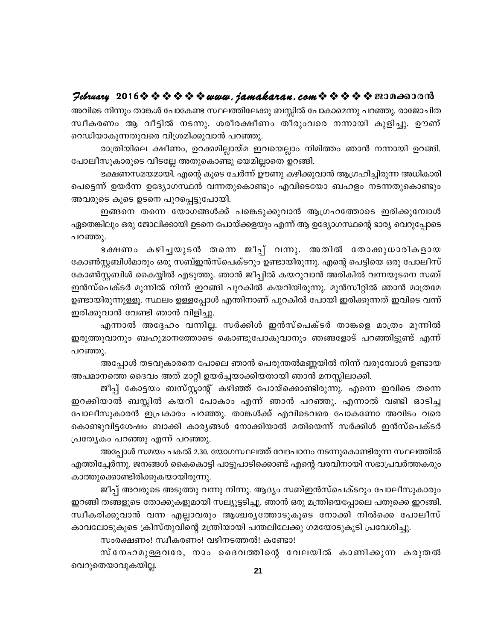#### February 2016 \* \* \* \* \* \* www.jamakaran.com \* \* \* \* \* \* 2010-00010

അവിടെ നിന്നും താങ്കൾ പോകേണ്ട സ്ഥലത്തിലേക്കു ബസ്സിൽ പോകാമെന്നു പറഞ്ഞു. രാജോചിത സ്വീകരണം ആ വീട്ടിൽ നടന്നു. ശരീരക്ഷീണം തീരുംവരെ നന്നായി കുളിച്ചു. ഊണ് റെഡിയാകുന്നതുവരെ വിശ്രമിക്കുവാൻ പറഞ്ഞു.

രാത്രിയിലെ ക്ഷീണം, ഉറക്കമില്ലായ്മ ഇവയെല്ലാം നിമിത്തം ഞാൻ നന്നായി ഉറങ്ങി. പോലീസുകാരുടെ വീടല്ലേ അതുകൊണ്ടു ഭയമില്ലാതെ ഉറങ്ങി.

ഭക്ഷണസമയമായി. എന്റെ കുടെ ചേർന്ന് ഊണു കഴിക്കുവാൻ ആഗ്രഹിച്ചിരുന്ന അധികാരി പെട്ടെന്ന് ഉയർന്ന ഉദ്യോഗസ്ഥൻ വന്നതുകൊണ്ടും എവിടെയോ ബഹളം നടന്നതുകൊണ്ടും അവരുടെ കൂടെ ഉടനെ പുറപ്പെട്ടുപോയി.

ഇങ്ങനെ തന്നെ യോഗങ്ങൾക്ക് പങ്കെടുക്കുവാൻ ആഗ്രഹത്തോടെ ഇരിക്കുമ്പോൾ ഏതെങ്കിലും ഒരു ജോലിക്കായി ഉടനെ പോയ്ക്കളയും എന്ന് ആ ഉദ്യോഗസ്ഥന്റെ ഭാര്യ വെറുപ്പോടെ പറഞ്ഞു.

ഭക്ഷണം കഴിച്ചയുടൻ തന്നെ ജീപ്പ് വന്നു. അതിൽ തോക്കുധാരികളായ കോൺസ്റ്റബിൾമാരും ഒരു സബ്ഇൻസ്പെക്ടറും ഉണ്ടായിരുന്നു. എന്റെ പെട്ടിയെ ഒരു പോലീസ് കോൺസ്റ്റബിൾ കൈയ്യിൽ എടുത്തു. ഞാൻ ജീപ്പിൽ കയറുവാൻ അരികിൽ വന്നയുടനെ സബ് ഇൻസ്പെക്ടർ മുന്നിൽ നിന്ന് ഇറങ്ങി പുറകിൽ കയറിയിരുന്നു. മുൻസീറ്റിൽ ഞാൻ മാത്രമേ ഉണ്ടായിരുന്നുള്ളൂ. സ്ഥലം ഉള്ളപ്പോൾ എന്തിനാണ് പുറകിൽ പോയി ഇരിക്കുന്നത് ഇവിടെ വന്ന് ഇരിക്കുവാൻ വേണ്ടി ഞാൻ വിളിച്ചു.

എന്നാൽ അദ്ദേഹം വന്നില്ല. സർക്കിൾ ഇൻസ്പെക്ടർ താങ്കളെ മാത്രം മുന്നിൽ ഇരുത്തുവാനും ബഹുമാനത്തോടെ കൊണ്ടുപോകുവാനും ഞങ്ങളോട് പറഞ്ഞിട്ടുണ്ട് എന്ന് പറഞ്ഞു.

അപ്പോൾ തടവുകാരനെ പോലെ ഞാൻ പെരുന്തൽമണ്ണയിൽ നിന്ന് വരുമ്പോൾ ഉണ്ടായ അപമാനത്തെ ദൈവം അത് മാറ്റി ഉയർച്ചയാക്കിയതായി ഞാൻ മനസ്സിലാക്കി.

ജീപ്പ് കോട്ടയം ബസ്സ്റ്റാന്റ് കഴിഞ്ഞ് പോയ്ക്കൊണ്ടിരുന്നു. എന്നെ ഇവിടെ തന്നെ ഇറക്കിയാൽ ബസ്സിൽ കയറി പോകാം എന്ന് ഞാൻ പറഞ്ഞു. എന്നാൽ വണ്ടി ഓടിച്ച പോലീസുകാരൻ ഇപ്രകാരം പറഞ്ഞു. താങ്കൾക്ക് എവിടെവരെ പോകണോ അവിടം വരെ കൊണ്ടുവിട്ടശേഷം ബാക്കി കാര്യങ്ങൾ നോക്കിയാൽ മതിയെന്ന് സർക്കിൾ ഇൻസ്പെക്ടർ പ്രത്യേകം പറഞ്ഞു എന്ന് പറഞ്ഞു.

അപ്പോൾ സമയം പകൽ 2.30. യോഗസ്ഥലത്ത് വേദപഠനം നടന്നുകൊണ്ടിരുന്ന സ്ഥലത്തിൽ എത്തിച്ചേർന്നു. ജനങ്ങൾ കൈകൊട്ടി പാട്ടുപാടിക്കൊണ്ട് എന്റെ വരവിനായി സഭാപ്രവർത്തകരും കാത്തുക്കൊണ്ടിരിക്കുകയായിരുന്നു.

ജീപ്പ് അവരുടെ അടുത്തു വന്നു നിന്നു. ആദ്യം സബ്ഇൻസ്പെക്ടറും പോലീസുകാരും ഇറങ്ങി തങ്ങളുടെ തോക്കുകളുമായി സല്യൂട്ടടിച്ചു. ഞാൻ ഒരു മന്ത്രിയെപ്പോലെ പതുക്കെ ഇറങ്ങി. സ്വീകരിക്കുവാൻ വന്ന എല്ലാവരും ആശ്ചരൃത്തോടുകൂടെ നോക്കി നിൽക്കെ പോലീസ് കാവലോടുകൂടെ ക്രിസ്തുവിന്റെ മന്ത്രിയായി പന്തലിലേക്കു ഗമയോടുകൂടി പ്രവേശിച്ചു.

സംരക്ഷണം! സ്വീകരണം! വഴിനടത്തൽ! കണ്ടോ!

സ്നേഹമുള്ളവരേ, നാം ദൈവത്തിന്റെ വേലയിൽ കാണിക്കുന്ന കരുതൽ വെറുതെയാവുകയില്ല.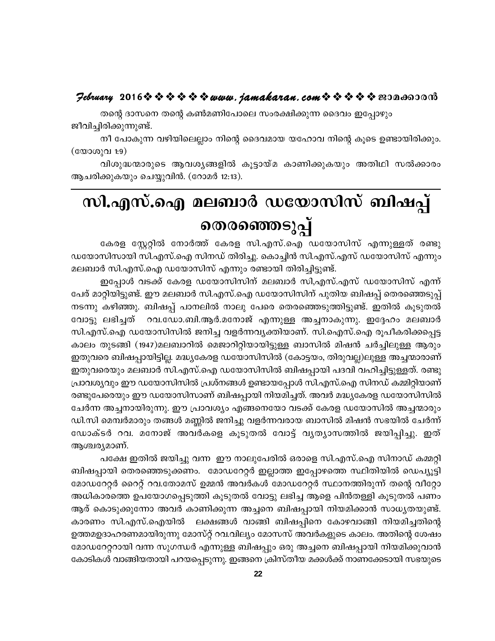# $\mathcal{P}$ ebruary 2016 $\rightsquigarrow \rightsquigarrow \rightsquigarrow \rightsquigarrow \rightsquigarrow u$ uww.jamakaran.com $\rightsquigarrow \rightsquigarrow \rightsquigarrow \rightsquigarrow \rightsquigarrow \text{reson}$

തന്റെ ദാസനെ തന്റെ കൺമണിപോലെ സംരക്ഷിക്കുന്ന ദൈവം ഇപ്പോഴും ജീവിച്ചിരിക്കുന്നുണ്ട്.

നീ പോകുന്ന വഴിയിലെല്ലാം നിന്റെ ദൈവമായ യഹോവ നിന്റെ കൂടെ ഉണ്ടായിരിക്കും. (യോശുവ 1:9)

വിശുദ്ധന്മാരുടെ ആവശൃങ്ങളിൽ കൂട്ടായ്മ കാണിക്കുകയും അതിഥി സൽക്കാരം ആചരിക്കുകയും ചെയ്യുവിൻ. (റോമർ 12:13).

# സി.എസ്.ഐ മലബാർ ഡയോസിസ് ബിഷപ്പ് തെരഞ്ഞെടുപ്പ്

കേരള സ്റ്റേറ്റിൽ നോർത്ത് കേരള സി.എസ്.ഐ ഡയോസിസ് എന്നുള്ളത് രണ്ടു ഡയോസിസായി സി.എസ്.ഐ സിനഡ് തിരിച്ചു. കൊച്ചിൻ സി.എസ്.എസ് ഡയോസിസ് എന്നും മലബാർ സി.എസ്.ഐ ഡയോസിസ് എന്നും രണ്ടായി തിരിച്ചിട്ടുണ്ട്.

ഇപ്പോൾ വടക്ക് കേരള ഡയോസിസിന് മലബാർ സി,എസ്.എസ് ഡയോസിസ് എന്ന് പേര് മാറ്റിയിട്ടുണ്ട്. ഈ മലബാർ സി.എസ്.ഐ ഡയോസിസിന് പുതിയ ബിഷപ്പ് തെരഞ്ഞെടുപ്പ് നടന്നു കഴിഞ്ഞു. ബിഷപ്പ് പാനലിൽ നാലു പേരെ തെരഞ്ഞെടുത്തിട്ടുണ്ട്. ഇതിൽ കൂടുതൽ വോട്ടു ലഭിച്ചത് - റവ.ഡോ.ബി.ആർ.മനോജ് എന്നുള്ള അച്ചനാകുന്നു. ഇദ്ദേഹം മലബാർ സി.എസ്.ഐ ഡയോസിസിൽ ജനിച്ച വളർന്നവൃക്തിയാണ്. സി.ഐസ്.ഐ രൂപീകരിക്കപ്പെട്ട കാലം തുടങ്ങി (1947)മലബാറിൽ മെജാറിറ്റിയായിട്ടുള്ള ബാസിൽ മിഷൻ ചർച്ചിലുള്ള ആരും ഇതുവരെ ബിഷപ്പായിട്ടില്ല. മദ്ധ്യകേരള ഡയോസിസിൽ (കോട്ടയം, തിരുവല്ല)ലുള്ള അച്ചന്മാരാണ് ഇതുവരെയും മലബാർ സി.എസ്.ഐ ഡയോസിസിൽ ബിഷപ്പായി പദവി വഹിച്ചിട്ടുള്ളത്. രണ്ടു പ്രാവശ്യവും ഈ ഡയോസിസിൽ പ്രശ്നങ്ങൾ ഉണ്ടായപ്പോൾ സി.എസ്.ഐ സിനഡ് കമ്മിറ്റിയാണ് രണ്ടുപേരെയും ഈ ഡയോസിസാണ് ബിഷപ്പായി നിയമിച്ചത്. അവർ മദ്ധ്യകേരള ഡയോസിസിൽ ചേർന്ന അച്ചനായിരുന്നു. ഈ പ്രാവശ്യം എങ്ങനെയോ വടക്ക് കേരള ഡയോസിൽ അച്ചന്മാരും ഡി.സി മെമ്പർമാരും തങ്ങൾ മണ്ണിൽ ജനിച്ചു വളർന്നവരായ ബാസിൽ മിഷൻ സഭയിൽ ചേർന്ന് ഡോക്ടർ റവ. മനോജ് അവർകളെ കൂടുതൽ വോട്ട് വൃത്യാസത്തിൽ ജയിപ്പിച്ചു. ഇത് ആശ്ചര്യമാണ്.

പക്ഷേ ഇതിൽ ജയിച്ചു വന്ന ഈ നാലുപേരിൽ ഒരാളെ സി.എസ്.ഐ സിനാഡ് കമ്മറ്റി ബിഷപ്പായി തെരഞ്ഞെടുക്കണം. മോഡറേറ്റർ ഇല്ലാത്ത ഇപ്പോഴത്തെ സ്ഥിതിയിൽ ഡെപ്യൂട്ടി മോഡറേറ്റർ റൈറ്റ് റവ.തോമസ് ഉമ്മൻ അവർകൾ മോഡറേറ്റർ സ്ഥാനത്തിരുന്ന് തന്റെ വീറ്റോ അധികാരത്തെ ഉപയോഗപ്പെടുത്തി കൂടുതൽ വോട്ടു ലഭിച്ച ആളെ പിൻതള്ളി കൂടുതൽ പണം ആര് കൊടുക്കുന്നോ അവർ കാണിക്കുന്ന അച്ചനെ ബിഷപ്പായി നിയമിക്കാൻ സാധ്യതയുണ്ട്. കാരണം സി.എസ്.ഐയിൽ ലക്ഷങ്ങൾ വാങ്ങി ബിഷപ്പിനെ കോഴവാങ്ങി നിയമിച്ചതിന്റെ ഉത്തമഉദാഹരണമായിരുന്നു മോസ്റ്റ് റവ.വില്യം മോസസ് അവർകളുടെ കാലം. അതിന്റെ ശേഷം മോഡറേറ്ററായി വന്ന സുഗന്ധർ എന്നുള്ള ബിഷപ്പും ഒരു അച്ചനെ ബിഷപ്പായി നിയമിക്കുവാൻ കോടികൾ വാങ്ങിയതായി പറയപ്പെടുന്നു. ഇങ്ങനെ ക്രിസ്തീയ മക്കൾക്ക് നാണക്കേടായി സഭയുടെ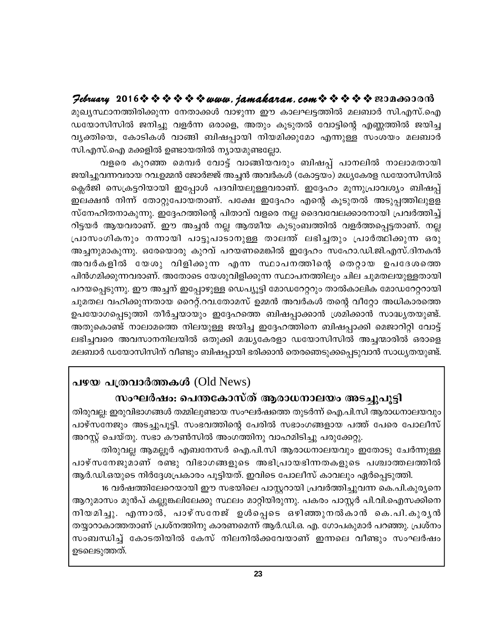## Jebruary 2016 \$ \$ \$ \$ \$ \$ www.jamakaran.com \$ \$ \$ \$ \$ \$ 200660000

മുഖ്യസ്ഥാനത്തിരിക്കുന്ന നേതാക്കൾ വാഴുന്ന ഈ കാലഘട്ടത്തിൽ മലബാർ സി.എസ്.ഐ ഡയോസിസിൽ ജനിച്ചു വളർന്ന ഒരാളെ, അതും കൂടുതൽ വോട്ടിന്റെ എണ്ണത്തിൽ ജയിച്ച വ്യക്തിയെ, കോടികൾ വാങ്ങി ബിഷപ്പായി നിയമിക്കുമോ എന്നുള്ള സംശയം മലബാർ സി.എസ്.ഐ മക്കളിൽ ഉണ്ടായതിൽ ന്യായമുണ്ടല്ലോ.

വളരെ കുറഞ്ഞ മെമ്പർ വോട്ട് വാങ്ങിയവരും ബിഷപ്പ് പാനലിൽ നാലാമതായി ജയിച്ചുവന്നവരായ റവ.ഉമ്മൻ ജോർജ്ജ് അച്ചൻ അവർകൾ (കോട്ടയം) മധ്യകേരള ഡയോസിസിൽ ക്ലെർജി സെക്രട്ടറിയായി ഇപ്പോൾ പദവിയലുള്ളവരാണ്. ഇദ്ദേഹം മൂന്നുപ്രാവശ്യം ബിഷപ്പ് ഇലക്ഷൻ നിന്ന് തോറ്റുപോയതാണ്. പക്ഷേ ഇദ്ദേഹം എന്റെ കൂടുതൽ അടുപ്പത്തിലുളള സ്നേഹിതനാകുന്നു. ഇദ്ദേഹത്തിന്റെ പിതാവ് വളരെ നല്ല ദൈവവേലക്കാരനായി പ്രവർത്തിച്ച് റിട്ടയർ ആയവരാണ്. ഈ അച്ചൻ നല്ല ആത്മീയ കുടുംബത്തിൽ വളർത്തപ്പെട്ടതാണ്. നല്ല പ്രാസംഗികനും നന്നായി പാട്ടുപാടാനുള്ള താലത് ലഭിച്ചതും പ്രാർത്ഥിക്കുന്ന ഒരു അച്ചനുമാകുന്നു. ഒരേയൊരു കുറവ് പറയണമെങ്കിൽ ഇദ്ദേഹം സഹോ.ഡി.ജി.എസ്.ദിനകൻ അവർകളിൽ യേശു വിളിക്കുന്ന എന്ന സ്ഥാപനത്തിന്റെ തെറ്റായ ഉപദേശത്തെ പിൻഗമിക്കുന്നവരാണ്. അതോടെ യേശുവിളിക്കുന്ന സ്ഥാപനത്തിലും ചില ചുമതലയുള്ളതായി പറയപ്പെടുന്നു. ഈ അച്ചന് ഇപ്പോഴുള്ള ഡെപ്യൂട്ടി മോഡറേറ്ററും താൽകാലിക മോഡറേറ്ററായി ചുമതല വഹിക്കുന്നതായ റൈറ്റ്.റവ.തോമസ് ഉമ്മൻ അവർകൾ തന്റെ വീറ്റോ അധികാരത്തെ ഉപയോഗപ്പെടുത്തി തീർച്ചയായും ഇദ്ദേഹത്തെ ബിഷപ്പാക്കാൻ ശ്രമിക്കാൻ സാദ്ധ്യതയുണ്ട്. അതുകൊണ്ട് നാലാമത്തെ നിലയുള്ള ജയിച്ച ഇദ്ദേഹത്തിനെ ബിഷപ്പാക്കി മെജാറിറ്റി വോട്ട് ലഭിച്ചവരെ അവസാനനിലയിൽ ഒതുക്കി മദ്ധ്യകേരളാ ഡയോസിസിൽ അച്ചന്മാരിൽ ഒരാളെ മലബാർ ഡയോസിസിന് വീണ്ടും ബിഷപ്പായി ഭരിക്കാൻ തെരഞെടുക്കപ്പെടുവാൻ സാധ്യതയുണ്ട്.

# പഴയ പത്രവാർത്തകൾ  $(Old News)$

## സംഘർഷം: പെന്തകോസ്ത് ആരാധനാലയം അടച്ചുപൂട്ടി

തിരുവല്ല: ഇരുവിഭാഗങ്ങൾ തമ്മിലുണ്ടായ സംഘർഷത്തെ തുടർന്ന് ഐ.പി.സി ആരാധനാലയവും പാഴ്സനേജും അടച്ചുപൂട്ടി. സംഭവത്തിന്റെ പേരിൽ സഭാംഗങ്ങളായ പത്ത് പേരെ പോലീസ് അറസ്റ്റ് ചെയ്തു. സഭാ കൗൺസിൽ അംഗത്തിനു വാഹമിടിച്ചു പരുക്കേറ്റു.

തിരുവല്ല ആമല്പൂർ എബനേസർ ഐ.പി.സി ആരാധനാലയവും ഇതോടു ചേർന്നുള്ള പാഴ്സനേജുമാണ് രണ്ടു വിഭാഗങ്ങളുടെ അഭിപ്രായഭിന്നതകളുടെ പശ്ചാത്തലത്തിൽ ആർ.ഡി.ഒയുടെ നിർദ്ദേശപ്രകാരം പൂട്ടിയത്. ഇവിടെ പോലീസ് കാവലും ഏർപ്പെടുത്തി.

16 വർഷത്തിലേറെയായി ഈ സഭയിലെ പാസ്റ്ററായി പ്രവർത്തിച്ചുവന്ന കെ.പി.കുരൃനെ ആറുമാസം മുൻപ് കല്ലുങ്കലിലേക്കു സ്ഥലം മാറ്റിയിരുന്നു. പകരം പാസ്റ്റർ പി.വി.ഐസക്കിനെ നിയമിച്ചു. എന്നാൽ, പാഴ്സനേജ് ഉൾപ്പെടെ ഒഴിഞ്ഞുനൽകാൻ കെ.പി.കുരൃൻ തയ്യാറാകാത്തതാണ് പ്രശ്നത്തിനു കാരണമെന്ന് ആർ.ഡി.ഒ. എ. ഗോപകുമാർ പറഞ്ഞു. പ്രശ്നം സംബന്ധിച്ച് കോടതിയിൽ കേസ് നിലനിൽക്കവേയാണ് ഇന്നലെ വീണ്ടും സംഘർഷം ഉടലെടുത്തത്.